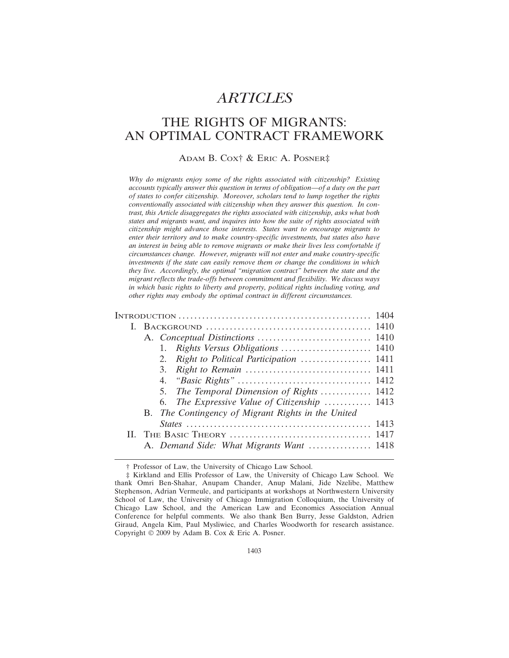# *ARTICLES*

# THE RIGHTS OF MIGRANTS: AN OPTIMAL CONTRACT FRAMEWORK

## ADAM B. COX† & ERIC A. POSNER‡

*Why do migrants enjoy some of the rights associated with citizenship? Existing accounts typically answer this question in terms of obligation—of a duty on the part of states to confer citizenship. Moreover, scholars tend to lump together the rights conventionally associated with citizenship when they answer this question. In contrast, this Article disaggregates the rights associated with citizenship, asks what both states and migrants want, and inquires into how the suite of rights associated with citizenship might advance those interests. States want to encourage migrants to enter their territory and to make country-specific investments, but states also have an interest in being able to remove migrants or make their lives less comfortable if circumstances change. However, migrants will not enter and make country-specific investments if the state can easily remove them or change the conditions in which they live. Accordingly, the optimal "migration contract" between the state and the migrant reflects the trade-offs between commitment and flexibility. We discuss ways in which basic rights to liberty and property, political rights including voting, and other rights may embody the optimal contract in different circumstances.*

| 2. Right to Political Participation  1411          |  |
|----------------------------------------------------|--|
|                                                    |  |
|                                                    |  |
| 5. The Temporal Dimension of Rights  1412          |  |
| 6. The Expressive Value of Citizenship  1413       |  |
| B. The Contingency of Migrant Rights in the United |  |
|                                                    |  |
|                                                    |  |
| A. Demand Side: What Migrants Want  1418           |  |
|                                                    |  |

† Professor of Law, the University of Chicago Law School.

<sup>‡</sup> Kirkland and Ellis Professor of Law, the University of Chicago Law School. We thank Omri Ben-Shahar, Anupam Chander, Anup Malani, Jide Nzelibe, Matthew Stephenson, Adrian Vermeule, and participants at workshops at Northwestern University School of Law, the University of Chicago Immigration Colloquium, the University of Chicago Law School, and the American Law and Economics Association Annual Conference for helpful comments. We also thank Ben Burry, Jesse Galdston, Adrien Giraud, Angela Kim, Paul Mysliwiec, and Charles Woodworth for research assistance. Copyright © 2009 by Adam B. Cox & Eric A. Posner.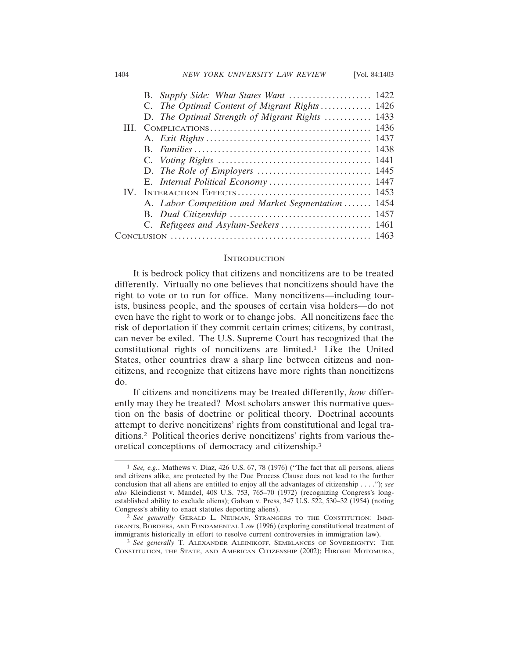#### 1404 *NEW YORK UNIVERSITY LAW REVIEW* [Vol. 84:1403

|   |  | B. Supply Side: What States Want              | 1422 |
|---|--|-----------------------------------------------|------|
|   |  | C. The Optimal Content of Migrant Rights 1426 |      |
|   |  | D. The Optimal Strength of Migrant Rights     | 1433 |
| Ш |  |                                               | 1436 |
|   |  |                                               | 1437 |
|   |  |                                               | 1438 |
|   |  |                                               | 1441 |
|   |  |                                               |      |
|   |  | E. Internal Political Economy  1447           |      |
|   |  |                                               | 1453 |
|   |  | A. Labor Competition and Market Segmentation  | 1454 |
|   |  |                                               | 1457 |
|   |  |                                               | 1461 |
|   |  |                                               |      |
|   |  |                                               |      |

#### **INTRODUCTION**

It is bedrock policy that citizens and noncitizens are to be treated differently. Virtually no one believes that noncitizens should have the right to vote or to run for office. Many noncitizens—including tourists, business people, and the spouses of certain visa holders—do not even have the right to work or to change jobs. All noncitizens face the risk of deportation if they commit certain crimes; citizens, by contrast, can never be exiled. The U.S. Supreme Court has recognized that the constitutional rights of noncitizens are limited.1 Like the United States, other countries draw a sharp line between citizens and noncitizens, and recognize that citizens have more rights than noncitizens do.

If citizens and noncitizens may be treated differently, *how* differently may they be treated? Most scholars answer this normative question on the basis of doctrine or political theory. Doctrinal accounts attempt to derive noncitizens' rights from constitutional and legal traditions.2 Political theories derive noncitizens' rights from various theoretical conceptions of democracy and citizenship.3

<sup>1</sup> *See, e.g.*, Mathews v. Diaz, 426 U.S. 67, 78 (1976) ("The fact that all persons, aliens and citizens alike, are protected by the Due Process Clause does not lead to the further conclusion that all aliens are entitled to enjoy all the advantages of citizenship . . . ."); *see also* Kleindienst v. Mandel, 408 U.S. 753, 765–70 (1972) (recognizing Congress's longestablished ability to exclude aliens); Galvan v. Press, 347 U.S. 522, 530–32 (1954) (noting Congress's ability to enact statutes deporting aliens).

<sup>2</sup> *See generally* GERALD L. NEUMAN, STRANGERS TO THE CONSTITUTION: IMMI-GRANTS, BORDERS, AND FUNDAMENTAL LAW (1996) (exploring constitutional treatment of immigrants historically in effort to resolve current controversies in immigration law).

<sup>3</sup> *See generally* T. ALEXANDER ALEINIKOFF, SEMBLANCES OF SOVEREIGNTY: THE CONSTITUTION, THE STATE, AND AMERICAN CITIZENSHIP (2002); HIROSHI MOTOMURA,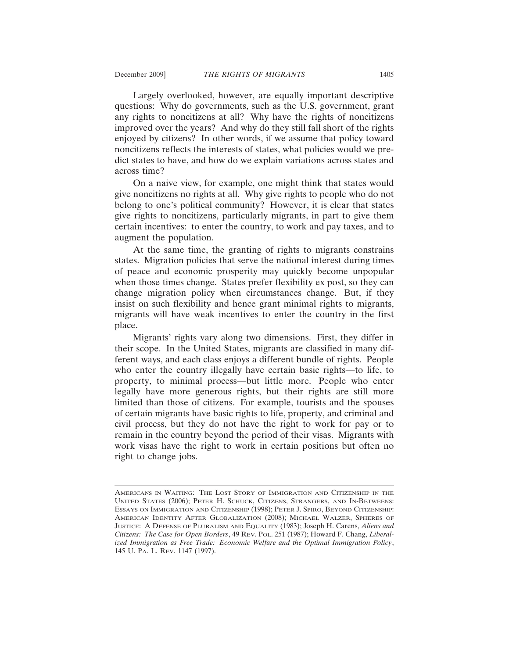Largely overlooked, however, are equally important descriptive questions: Why do governments, such as the U.S. government, grant any rights to noncitizens at all? Why have the rights of noncitizens improved over the years? And why do they still fall short of the rights enjoyed by citizens? In other words, if we assume that policy toward noncitizens reflects the interests of states, what policies would we predict states to have, and how do we explain variations across states and across time?

On a naive view, for example, one might think that states would give noncitizens no rights at all. Why give rights to people who do not belong to one's political community? However, it is clear that states give rights to noncitizens, particularly migrants, in part to give them certain incentives: to enter the country, to work and pay taxes, and to augment the population.

At the same time, the granting of rights to migrants constrains states. Migration policies that serve the national interest during times of peace and economic prosperity may quickly become unpopular when those times change. States prefer flexibility ex post, so they can change migration policy when circumstances change. But, if they insist on such flexibility and hence grant minimal rights to migrants, migrants will have weak incentives to enter the country in the first place.

Migrants' rights vary along two dimensions. First, they differ in their scope. In the United States, migrants are classified in many different ways, and each class enjoys a different bundle of rights. People who enter the country illegally have certain basic rights—to life, to property, to minimal process—but little more. People who enter legally have more generous rights, but their rights are still more limited than those of citizens. For example, tourists and the spouses of certain migrants have basic rights to life, property, and criminal and civil process, but they do not have the right to work for pay or to remain in the country beyond the period of their visas. Migrants with work visas have the right to work in certain positions but often no right to change jobs.

AMERICANS IN WAITING: THE LOST STORY OF IMMIGRATION AND CITIZENSHIP IN THE UNITED STATES (2006); PETER H. SCHUCK, CITIZENS, STRANGERS, AND IN-BETWEENS: ESSAYS ON IMMIGRATION AND CITIZENSHIP (1998); PETER J. SPIRO, BEYOND CITIZENSHIP: AMERICAN IDENTITY AFTER GLOBALIZATION (2008); MICHAEL WALZER, SPHERES OF JUSTICE: A DEFENSE OF PLURALISM AND EQUALITY (1983); Joseph H. Carens, *Aliens and Citizens: The Case for Open Borders*, 49 REV. POL. 251 (1987); Howard F. Chang, *Liberalized Immigration as Free Trade: Economic Welfare and the Optimal Immigration Policy*, 145 U. PA. L. REV. 1147 (1997).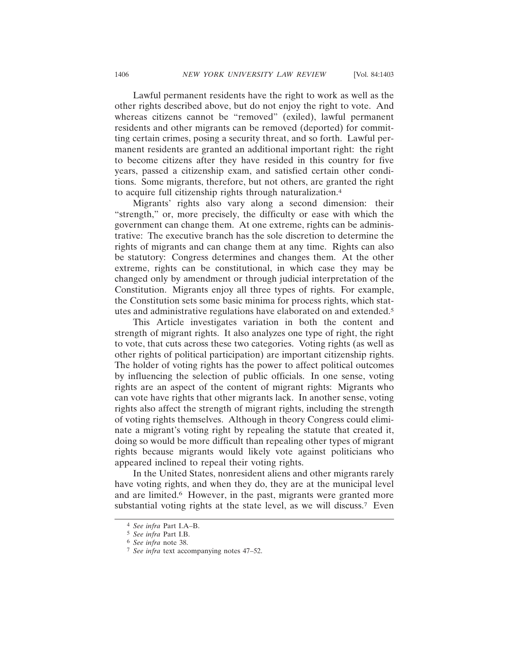Lawful permanent residents have the right to work as well as the other rights described above, but do not enjoy the right to vote. And whereas citizens cannot be "removed" (exiled), lawful permanent residents and other migrants can be removed (deported) for committing certain crimes, posing a security threat, and so forth. Lawful permanent residents are granted an additional important right: the right to become citizens after they have resided in this country for five years, passed a citizenship exam, and satisfied certain other conditions. Some migrants, therefore, but not others, are granted the right to acquire full citizenship rights through naturalization.4

Migrants' rights also vary along a second dimension: their "strength," or, more precisely, the difficulty or ease with which the government can change them. At one extreme, rights can be administrative: The executive branch has the sole discretion to determine the rights of migrants and can change them at any time. Rights can also be statutory: Congress determines and changes them. At the other extreme, rights can be constitutional, in which case they may be changed only by amendment or through judicial interpretation of the Constitution. Migrants enjoy all three types of rights. For example, the Constitution sets some basic minima for process rights, which statutes and administrative regulations have elaborated on and extended.5

This Article investigates variation in both the content and strength of migrant rights. It also analyzes one type of right, the right to vote, that cuts across these two categories. Voting rights (as well as other rights of political participation) are important citizenship rights. The holder of voting rights has the power to affect political outcomes by influencing the selection of public officials. In one sense, voting rights are an aspect of the content of migrant rights: Migrants who can vote have rights that other migrants lack. In another sense, voting rights also affect the strength of migrant rights, including the strength of voting rights themselves. Although in theory Congress could eliminate a migrant's voting right by repealing the statute that created it, doing so would be more difficult than repealing other types of migrant rights because migrants would likely vote against politicians who appeared inclined to repeal their voting rights.

In the United States, nonresident aliens and other migrants rarely have voting rights, and when they do, they are at the municipal level and are limited.<sup>6</sup> However, in the past, migrants were granted more substantial voting rights at the state level, as we will discuss.<sup>7</sup> Even

<sup>4</sup> *See infra* Part I.A–B.

<sup>5</sup> *See infra* Part I.B.

<sup>6</sup> *See infra* note 38.

<sup>7</sup> *See infra* text accompanying notes 47–52.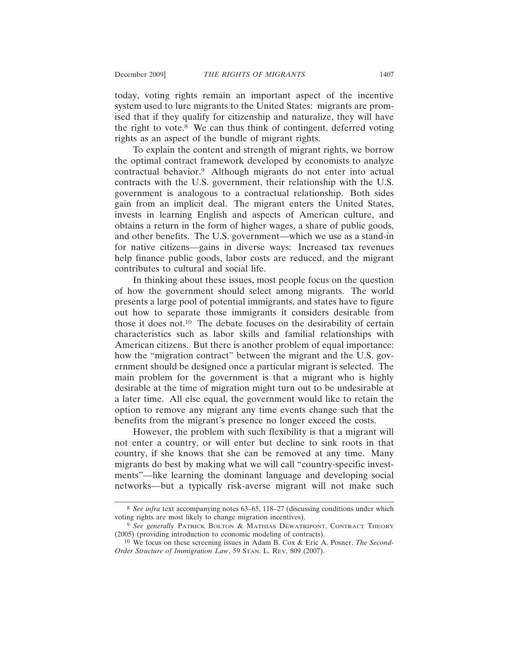today, voting rights remain an important aspect of the incentive system used to lure migrants to the United States: migrants are promised that if they qualify for citizenship and naturalize, they will have the right to vote.8 We can thus think of contingent, deferred voting rights as an aspect of the bundle of migrant rights.

To explain the content and strength of migrant rights, we borrow the optimal contract framework developed by economists to analyze contractual behavior.9 Although migrants do not enter into actual contracts with the U.S. government, their relationship with the U.S. government is analogous to a contractual relationship. Both sides gain from an implicit deal. The migrant enters the United States, invests in learning English and aspects of American culture, and obtains a return in the form of higher wages, a share of public goods, and other benefits. The U.S. government—which we use as a stand-in for native citizens—gains in diverse ways: Increased tax revenues help finance public goods, labor costs are reduced, and the migrant contributes to cultural and social life.

In thinking about these issues, most people focus on the question of how the government should select among migrants. The world presents a large pool of potential immigrants, and states have to figure out how to separate those immigrants it considers desirable from those it does not.10 The debate focuses on the desirability of certain characteristics such as labor skills and familial relationships with American citizens. But there is another problem of equal importance: how the "migration contract" between the migrant and the U.S. government should be designed once a particular migrant is selected. The main problem for the government is that a migrant who is highly desirable at the time of migration might turn out to be undesirable at a later time. All else equal, the government would like to retain the option to remove any migrant any time events change such that the benefits from the migrant's presence no longer exceed the costs.

However, the problem with such flexibility is that a migrant will not enter a country, or will enter but decline to sink roots in that country, if she knows that she can be removed at any time. Many migrants do best by making what we will call "country-specific investments"—like learning the dominant language and developing social networks—but a typically risk-averse migrant will not make such

<sup>8</sup> *See infra* text accompanying notes 63–65, 118–27 (discussing conditions under which voting rights are most likely to change migration incentives).

<sup>9</sup> *See generally* PATRICK BOLTON & MATHIAS DEWATRIPONT, CONTRACT THEORY (2005) (providing introduction to economic modeling of contracts).

<sup>10</sup> We focus on these screening issues in Adam B. Cox & Eric A. Posner, *The Second-Order Structure of Immigration Law*, 59 STAN. L. REV. 809 (2007).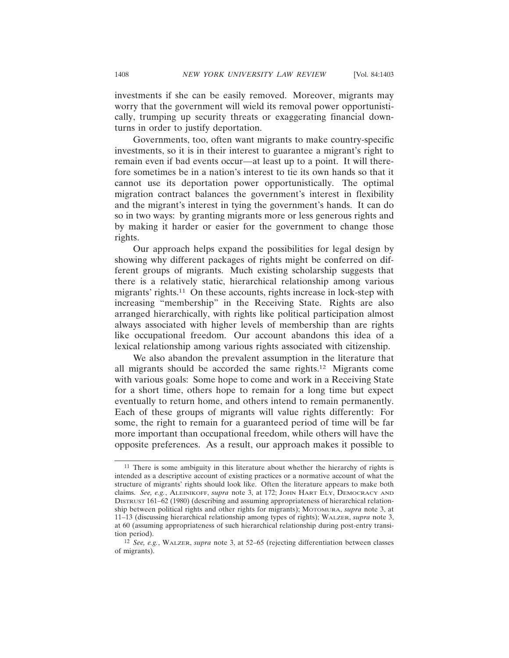investments if she can be easily removed. Moreover, migrants may worry that the government will wield its removal power opportunistically, trumping up security threats or exaggerating financial downturns in order to justify deportation.

Governments, too, often want migrants to make country-specific investments, so it is in their interest to guarantee a migrant's right to remain even if bad events occur—at least up to a point. It will therefore sometimes be in a nation's interest to tie its own hands so that it cannot use its deportation power opportunistically. The optimal migration contract balances the government's interest in flexibility and the migrant's interest in tying the government's hands. It can do so in two ways: by granting migrants more or less generous rights and by making it harder or easier for the government to change those rights.

Our approach helps expand the possibilities for legal design by showing why different packages of rights might be conferred on different groups of migrants. Much existing scholarship suggests that there is a relatively static, hierarchical relationship among various migrants' rights.11 On these accounts, rights increase in lock-step with increasing "membership" in the Receiving State. Rights are also arranged hierarchically, with rights like political participation almost always associated with higher levels of membership than are rights like occupational freedom. Our account abandons this idea of a lexical relationship among various rights associated with citizenship.

We also abandon the prevalent assumption in the literature that all migrants should be accorded the same rights.12 Migrants come with various goals: Some hope to come and work in a Receiving State for a short time, others hope to remain for a long time but expect eventually to return home, and others intend to remain permanently. Each of these groups of migrants will value rights differently: For some, the right to remain for a guaranteed period of time will be far more important than occupational freedom, while others will have the opposite preferences. As a result, our approach makes it possible to

<sup>11</sup> There is some ambiguity in this literature about whether the hierarchy of rights is intended as a descriptive account of existing practices or a normative account of what the structure of migrants' rights should look like. Often the literature appears to make both claims. *See, e.g.*, ALEINIKOFF, *supra* note 3, at 172; JOHN HART ELY, DEMOCRACY AND DISTRUST 161–62 (1980) (describing and assuming appropriateness of hierarchical relationship between political rights and other rights for migrants); MOTOMURA, *supra* note 3, at 11–13 (discussing hierarchical relationship among types of rights); WALZER, *supra* note 3, at 60 (assuming appropriateness of such hierarchical relationship during post-entry transition period).

<sup>12</sup> *See, e.g.*, WALZER, *supra* note 3, at 52–65 (rejecting differentiation between classes of migrants).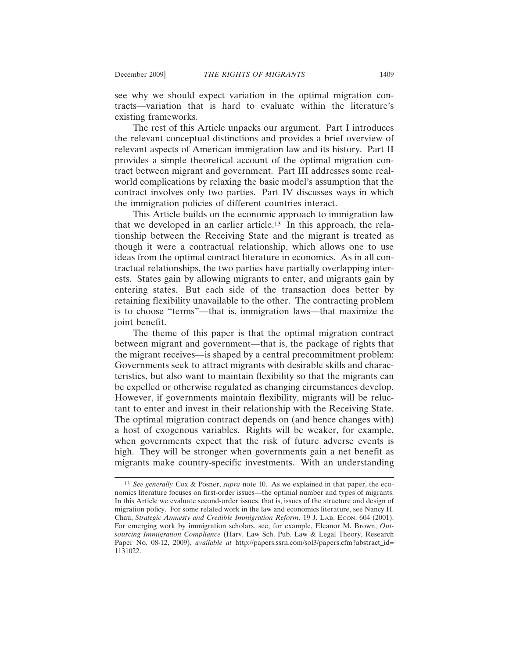see why we should expect variation in the optimal migration contracts—variation that is hard to evaluate within the literature's existing frameworks.

The rest of this Article unpacks our argument. Part I introduces the relevant conceptual distinctions and provides a brief overview of relevant aspects of American immigration law and its history. Part II provides a simple theoretical account of the optimal migration contract between migrant and government. Part III addresses some realworld complications by relaxing the basic model's assumption that the contract involves only two parties. Part IV discusses ways in which the immigration policies of different countries interact.

This Article builds on the economic approach to immigration law that we developed in an earlier article.13 In this approach, the relationship between the Receiving State and the migrant is treated as though it were a contractual relationship, which allows one to use ideas from the optimal contract literature in economics. As in all contractual relationships, the two parties have partially overlapping interests. States gain by allowing migrants to enter, and migrants gain by entering states. But each side of the transaction does better by retaining flexibility unavailable to the other. The contracting problem is to choose "terms"—that is, immigration laws—that maximize the joint benefit.

The theme of this paper is that the optimal migration contract between migrant and government—that is, the package of rights that the migrant receives—is shaped by a central precommitment problem: Governments seek to attract migrants with desirable skills and characteristics, but also want to maintain flexibility so that the migrants can be expelled or otherwise regulated as changing circumstances develop. However, if governments maintain flexibility, migrants will be reluctant to enter and invest in their relationship with the Receiving State. The optimal migration contract depends on (and hence changes with) a host of exogenous variables. Rights will be weaker, for example, when governments expect that the risk of future adverse events is high. They will be stronger when governments gain a net benefit as migrants make country-specific investments. With an understanding

<sup>13</sup> *See generally* Cox & Posner, *supra* note 10. As we explained in that paper, the economics literature focuses on first-order issues—the optimal number and types of migrants. In this Article we evaluate second-order issues, that is, issues of the structure and design of migration policy. For some related work in the law and economics literature, see Nancy H. Chau, *Strategic Amnesty and Credible Immigration Reform*, 19 J. LAB. ECON. 604 (2001). For emerging work by immigration scholars, see, for example, Eleanor M. Brown, *Outsourcing Immigration Compliance* (Harv. Law Sch. Pub. Law & Legal Theory, Research Paper No. 08-12, 2009), *available at* http://papers.ssrn.com/sol3/papers.cfm?abstract\_id= 1131022.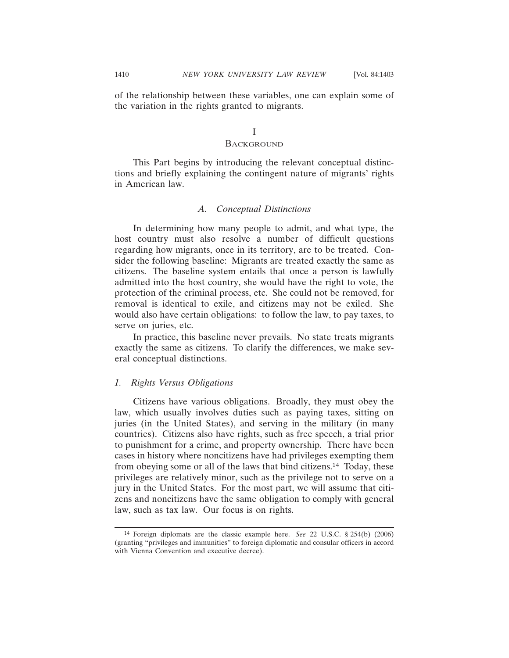of the relationship between these variables, one can explain some of the variation in the rights granted to migrants.

# I

#### **BACKGROUND**

This Part begins by introducing the relevant conceptual distinctions and briefly explaining the contingent nature of migrants' rights in American law.

## *A. Conceptual Distinctions*

In determining how many people to admit, and what type, the host country must also resolve a number of difficult questions regarding how migrants, once in its territory, are to be treated. Consider the following baseline: Migrants are treated exactly the same as citizens. The baseline system entails that once a person is lawfully admitted into the host country, she would have the right to vote, the protection of the criminal process, etc. She could not be removed, for removal is identical to exile, and citizens may not be exiled. She would also have certain obligations: to follow the law, to pay taxes, to serve on juries, etc.

In practice, this baseline never prevails. No state treats migrants exactly the same as citizens. To clarify the differences, we make several conceptual distinctions.

### *1. Rights Versus Obligations*

Citizens have various obligations. Broadly, they must obey the law, which usually involves duties such as paying taxes, sitting on juries (in the United States), and serving in the military (in many countries). Citizens also have rights, such as free speech, a trial prior to punishment for a crime, and property ownership. There have been cases in history where noncitizens have had privileges exempting them from obeying some or all of the laws that bind citizens.14 Today, these privileges are relatively minor, such as the privilege not to serve on a jury in the United States. For the most part, we will assume that citizens and noncitizens have the same obligation to comply with general law, such as tax law. Our focus is on rights.

<sup>14</sup> Foreign diplomats are the classic example here. *See* 22 U.S.C. § 254(b) (2006) (granting "privileges and immunities" to foreign diplomatic and consular officers in accord with Vienna Convention and executive decree).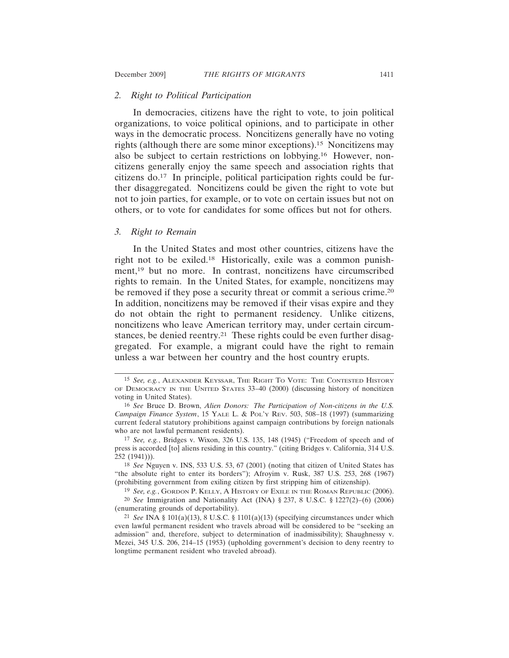#### *2. Right to Political Participation*

In democracies, citizens have the right to vote, to join political organizations, to voice political opinions, and to participate in other ways in the democratic process. Noncitizens generally have no voting rights (although there are some minor exceptions).15 Noncitizens may also be subject to certain restrictions on lobbying.16 However, noncitizens generally enjoy the same speech and association rights that citizens do.17 In principle, political participation rights could be further disaggregated. Noncitizens could be given the right to vote but not to join parties, for example, or to vote on certain issues but not on others, or to vote for candidates for some offices but not for others.

#### *3. Right to Remain*

In the United States and most other countries, citizens have the right not to be exiled.18 Historically, exile was a common punishment,19 but no more. In contrast, noncitizens have circumscribed rights to remain. In the United States, for example, noncitizens may be removed if they pose a security threat or commit a serious crime.20 In addition, noncitizens may be removed if their visas expire and they do not obtain the right to permanent residency. Unlike citizens, noncitizens who leave American territory may, under certain circumstances, be denied reentry.21 These rights could be even further disaggregated. For example, a migrant could have the right to remain unless a war between her country and the host country erupts.

<sup>15</sup> *See, e.g.*, ALEXANDER KEYSSAR, THE RIGHT TO VOTE: THE CONTESTED HISTORY OF DEMOCRACY IN THE UNITED STATES 33–40 (2000) (discussing history of noncitizen voting in United States).

<sup>16</sup> *See* Bruce D. Brown, *Alien Donors: The Participation of Non-citizens in the U.S. Campaign Finance System*, 15 YALE L. & POL'Y REV. 503, 508–18 (1997) (summarizing current federal statutory prohibitions against campaign contributions by foreign nationals who are not lawful permanent residents).

<sup>17</sup> *See, e.g.*, Bridges v. Wixon, 326 U.S. 135, 148 (1945) ("Freedom of speech and of press is accorded [to] aliens residing in this country." (citing Bridges v. California, 314 U.S. 252 (1941))).

<sup>18</sup> *See* Nguyen v. INS, 533 U.S. 53, 67 (2001) (noting that citizen of United States has "the absolute right to enter its borders"); Afroyim v. Rusk, 387 U.S. 253, 268 (1967) (prohibiting government from exiling citizen by first stripping him of citizenship).

<sup>19</sup> *See, e.g.*, GORDON P. KELLY, A HISTORY OF EXILE IN THE ROMAN REPUBLIC (2006). 20 *See* Immigration and Nationality Act (INA) § 237, 8 U.S.C. § 1227(2)–(6) (2006) (enumerating grounds of deportability).

<sup>21</sup> *See* INA § 101(a)(13), 8 U.S.C. § 1101(a)(13) (specifying circumstances under which even lawful permanent resident who travels abroad will be considered to be "seeking an admission" and, therefore, subject to determination of inadmissibility); Shaughnessy v. Mezei, 345 U.S. 206, 214–15 (1953) (upholding government's decision to deny reentry to longtime permanent resident who traveled abroad).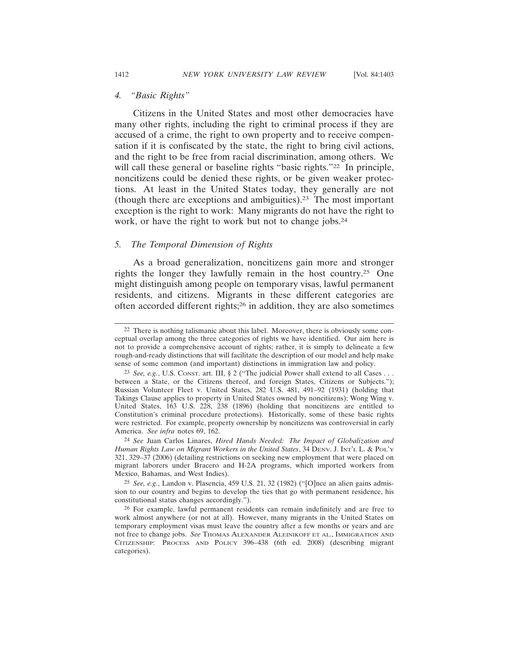## *4. "Basic Rights"*

Citizens in the United States and most other democracies have many other rights, including the right to criminal process if they are accused of a crime, the right to own property and to receive compensation if it is confiscated by the state, the right to bring civil actions, and the right to be free from racial discrimination, among others. We will call these general or baseline rights "basic rights."<sup>22</sup> In principle, noncitizens could be denied these rights, or be given weaker protections. At least in the United States today, they generally are not (though there are exceptions and ambiguities).23 The most important exception is the right to work: Many migrants do not have the right to work, or have the right to work but not to change jobs.<sup>24</sup>

#### *5. The Temporal Dimension of Rights*

As a broad generalization, noncitizens gain more and stronger rights the longer they lawfully remain in the host country.25 One might distinguish among people on temporary visas, lawful permanent residents, and citizens. Migrants in these different categories are often accorded different rights;26 in addition, they are also sometimes

25 *See, e.g.*, Landon v. Plasencia, 459 U.S. 21, 32 (1982) ("[O]nce an alien gains admission to our country and begins to develop the ties that go with permanent residence, his constitutional status changes accordingly.").

<sup>&</sup>lt;sup>22</sup> There is nothing talismanic about this label. Moreover, there is obviously some conceptual overlap among the three categories of rights we have identified. Our aim here is not to provide a comprehensive account of rights; rather, it is simply to delineate a few rough-and-ready distinctions that will facilitate the description of our model and help make sense of some common (and important) distinctions in immigration law and policy.

<sup>23</sup> *See, e.g.*, U.S. CONST. art. III, § 2 ("The judicial Power shall extend to all Cases . . . between a State, or the Citizens thereof, and foreign States, Citizens or Subjects."); Russian Volunteer Fleet v. United States, 282 U.S. 481, 491–92 (1931) (holding that Takings Clause applies to property in United States owned by noncitizens); Wong Wing v. United States, 163 U.S. 228, 238 (1896) (holding that noncitizens are entitled to Constitution's criminal procedure protections). Historically, some of these basic rights were restricted. For example, property ownership by noncitizens was controversial in early America. *See infra* notes 69, 162.

<sup>24</sup> *See* Juan Carlos Linares, *Hired Hands Needed: The Impact of Globalization and Human Rights Law on Migrant Workers in the United States*, 34 DENV. J. INT'L L. & POL'Y 321, 329–37 (2006) (detailing restrictions on seeking new employment that were placed on migrant laborers under Bracero and H-2A programs, which imported workers from Mexico, Bahamas, and West Indies).

<sup>26</sup> For example, lawful permanent residents can remain indefinitely and are free to work almost anywhere (or not at all). However, many migrants in the United States on temporary employment visas must leave the country after a few months or years and are not free to change jobs. *See* THOMAS ALEXANDER ALEINIKOFF ET AL., IMMIGRATION AND CITIZENSHIP: PROCESS AND POLICY 396-438 (6th ed. 2008) (describing migrant categories).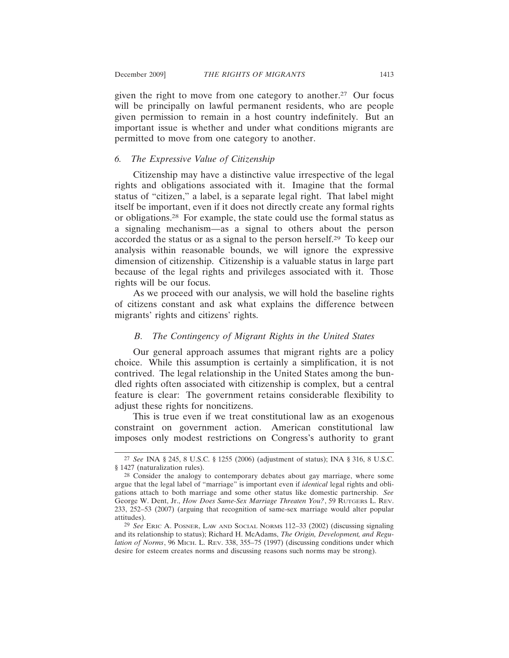given the right to move from one category to another.27 Our focus will be principally on lawful permanent residents, who are people given permission to remain in a host country indefinitely. But an important issue is whether and under what conditions migrants are permitted to move from one category to another.

## *6. The Expressive Value of Citizenship*

Citizenship may have a distinctive value irrespective of the legal rights and obligations associated with it. Imagine that the formal status of "citizen," a label, is a separate legal right. That label might itself be important, even if it does not directly create any formal rights or obligations.28 For example, the state could use the formal status as a signaling mechanism—as a signal to others about the person accorded the status or as a signal to the person herself.29 To keep our analysis within reasonable bounds, we will ignore the expressive dimension of citizenship. Citizenship is a valuable status in large part because of the legal rights and privileges associated with it. Those rights will be our focus.

As we proceed with our analysis, we will hold the baseline rights of citizens constant and ask what explains the difference between migrants' rights and citizens' rights.

#### *B. The Contingency of Migrant Rights in the United States*

Our general approach assumes that migrant rights are a policy choice. While this assumption is certainly a simplification, it is not contrived. The legal relationship in the United States among the bundled rights often associated with citizenship is complex, but a central feature is clear: The government retains considerable flexibility to adjust these rights for noncitizens.

This is true even if we treat constitutional law as an exogenous constraint on government action. American constitutional law imposes only modest restrictions on Congress's authority to grant

<sup>27</sup> *See* INA § 245, 8 U.S.C. § 1255 (2006) (adjustment of status); INA § 316, 8 U.S.C. § 1427 (naturalization rules).

<sup>28</sup> Consider the analogy to contemporary debates about gay marriage, where some argue that the legal label of "marriage" is important even if *identical* legal rights and obligations attach to both marriage and some other status like domestic partnership. *See* George W. Dent, Jr., *How Does Same-Sex Marriage Threaten You?*, 59 RUTGERS L. REV. 233, 252–53 (2007) (arguing that recognition of same-sex marriage would alter popular attitudes).

<sup>29</sup> *See* ERIC A. POSNER, LAW AND SOCIAL NORMS 112–33 (2002) (discussing signaling and its relationship to status); Richard H. McAdams, *The Origin, Development, and Regulation of Norms*, 96 MICH. L. REV. 338, 355–75 (1997) (discussing conditions under which desire for esteem creates norms and discussing reasons such norms may be strong).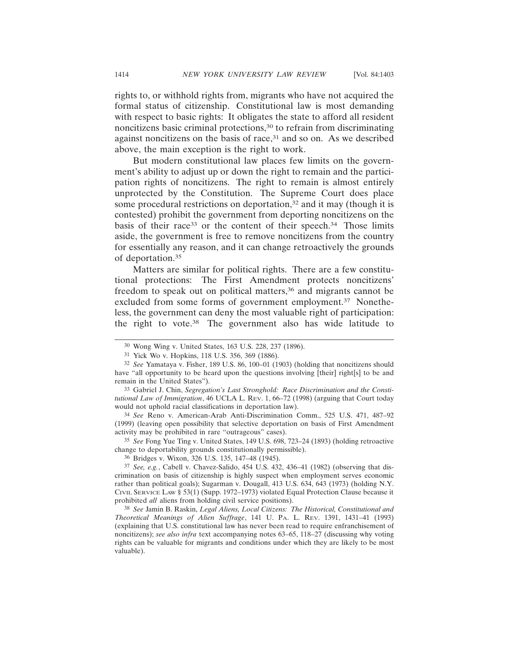rights to, or withhold rights from, migrants who have not acquired the formal status of citizenship. Constitutional law is most demanding with respect to basic rights: It obligates the state to afford all resident noncitizens basic criminal protections,30 to refrain from discriminating against noncitizens on the basis of race, $31$  and so on. As we described above, the main exception is the right to work.

But modern constitutional law places few limits on the government's ability to adjust up or down the right to remain and the participation rights of noncitizens. The right to remain is almost entirely unprotected by the Constitution. The Supreme Court does place some procedural restrictions on deportation,<sup>32</sup> and it may (though it is contested) prohibit the government from deporting noncitizens on the basis of their race<sup>33</sup> or the content of their speech.<sup>34</sup> Those limits aside, the government is free to remove noncitizens from the country for essentially any reason, and it can change retroactively the grounds of deportation.35

Matters are similar for political rights. There are a few constitutional protections: The First Amendment protects noncitizens' freedom to speak out on political matters,<sup>36</sup> and migrants cannot be excluded from some forms of government employment.<sup>37</sup> Nonetheless, the government can deny the most valuable right of participation: the right to vote.38 The government also has wide latitude to

34 *See* Reno v. American-Arab Anti-Discrimination Comm., 525 U.S. 471, 487–92 (1999) (leaving open possibility that selective deportation on basis of First Amendment activity may be prohibited in rare "outrageous" cases).

35 *See* Fong Yue Ting v. United States, 149 U.S. 698, 723–24 (1893) (holding retroactive change to deportability grounds constitutionally permissible).

36 Bridges v. Wixon, 326 U.S. 135, 147–48 (1945).

38 *See* Jamin B. Raskin, *Legal Aliens, Local Citizens: The Historical, Constitutional and Theoretical Meanings of Alien Suffrage*, 141 U. PA. L. REV. 1391, 1431–41 (1993) (explaining that U.S. constitutional law has never been read to require enfranchisement of noncitizens); *see also infra* text accompanying notes 63–65, 118–27 (discussing why voting rights can be valuable for migrants and conditions under which they are likely to be most valuable).

<sup>30</sup> Wong Wing v. United States, 163 U.S. 228, 237 (1896).

<sup>31</sup> Yick Wo v. Hopkins, 118 U.S. 356, 369 (1886).

<sup>32</sup> *See* Yamataya v. Fisher, 189 U.S. 86, 100–01 (1903) (holding that noncitizens should have "all opportunity to be heard upon the questions involving [their] right[s] to be and remain in the United States").

<sup>33</sup> Gabriel J. Chin, *Segregation's Last Stronghold: Race Discrimination and the Constitutional Law of Immigration*, 46 UCLA L. REV. 1, 66–72 (1998) (arguing that Court today would not uphold racial classifications in deportation law).

<sup>37</sup> *See, e.g.*, Cabell v. Chavez-Salido, 454 U.S. 432, 436–41 (1982) (observing that discrimination on basis of citizenship is highly suspect when employment serves economic rather than political goals); Sugarman v. Dougall, 413 U.S. 634, 643 (1973) (holding N.Y. CIVIL SERVICE LAW § 53(1) (Supp. 1972–1973) violated Equal Protection Clause because it prohibited *all* aliens from holding civil service positions).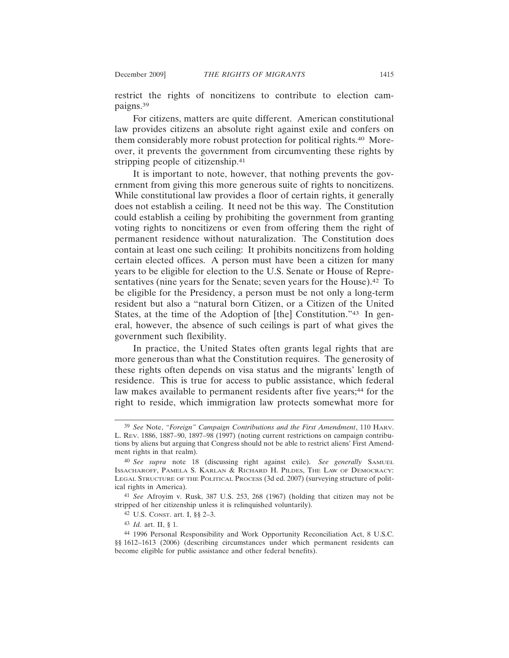restrict the rights of noncitizens to contribute to election campaigns.39

For citizens, matters are quite different. American constitutional law provides citizens an absolute right against exile and confers on them considerably more robust protection for political rights.40 Moreover, it prevents the government from circumventing these rights by stripping people of citizenship.<sup>41</sup>

It is important to note, however, that nothing prevents the government from giving this more generous suite of rights to noncitizens. While constitutional law provides a floor of certain rights, it generally does not establish a ceiling. It need not be this way. The Constitution could establish a ceiling by prohibiting the government from granting voting rights to noncitizens or even from offering them the right of permanent residence without naturalization. The Constitution does contain at least one such ceiling: It prohibits noncitizens from holding certain elected offices. A person must have been a citizen for many years to be eligible for election to the U.S. Senate or House of Representatives (nine years for the Senate; seven years for the House).<sup>42</sup> To be eligible for the Presidency, a person must be not only a long-term resident but also a "natural born Citizen, or a Citizen of the United States, at the time of the Adoption of [the] Constitution."43 In general, however, the absence of such ceilings is part of what gives the government such flexibility.

In practice, the United States often grants legal rights that are more generous than what the Constitution requires. The generosity of these rights often depends on visa status and the migrants' length of residence. This is true for access to public assistance, which federal law makes available to permanent residents after five years;<sup>44</sup> for the right to reside, which immigration law protects somewhat more for

<sup>39</sup> *See* Note, *"Foreign" Campaign Contributions and the First Amendment*, 110 HARV. L. REV. 1886, 1887–90, 1897–98 (1997) (noting current restrictions on campaign contributions by aliens but arguing that Congress should not be able to restrict aliens' First Amendment rights in that realm).

<sup>40</sup> *See supra* note 18 (discussing right against exile). *See generally* SAMUEL ISSACHAROFF, PAMELA S. KARLAN & RICHARD H. PILDES, THE LAW OF DEMOCRACY: LEGAL STRUCTURE OF THE POLITICAL PROCESS (3d ed. 2007) (surveying structure of political rights in America).

<sup>41</sup> *See* Afroyim v. Rusk, 387 U.S. 253, 268 (1967) (holding that citizen may not be stripped of her citizenship unless it is relinquished voluntarily).

<sup>42</sup> U.S. CONST. art. I, §§ 2–3.

<sup>43</sup> *Id.* art. II, § 1.

<sup>44</sup> 1996 Personal Responsibility and Work Opportunity Reconciliation Act, 8 U.S.C. §§ 1612–1613 (2006) (describing circumstances under which permanent residents can become eligible for public assistance and other federal benefits).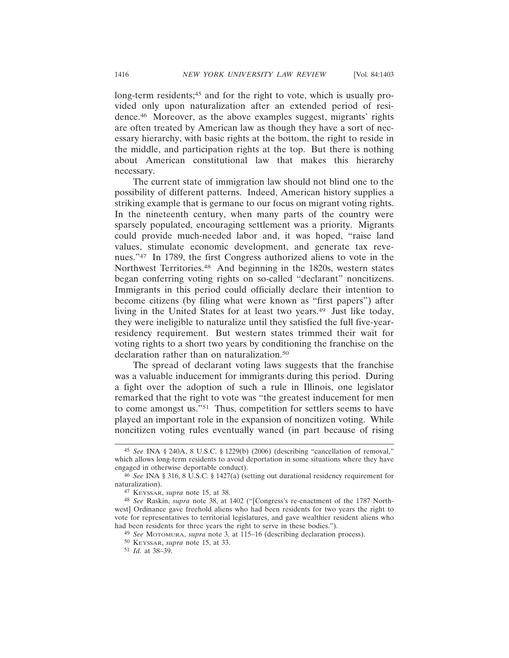long-term residents;<sup>45</sup> and for the right to vote, which is usually provided only upon naturalization after an extended period of residence.46 Moreover, as the above examples suggest, migrants' rights are often treated by American law as though they have a sort of necessary hierarchy, with basic rights at the bottom, the right to reside in the middle, and participation rights at the top. But there is nothing about American constitutional law that makes this hierarchy necessary.

The current state of immigration law should not blind one to the possibility of different patterns. Indeed, American history supplies a striking example that is germane to our focus on migrant voting rights. In the nineteenth century, when many parts of the country were sparsely populated, encouraging settlement was a priority. Migrants could provide much-needed labor and, it was hoped, "raise land values, stimulate economic development, and generate tax revenues."47 In 1789, the first Congress authorized aliens to vote in the Northwest Territories.48 And beginning in the 1820s, western states began conferring voting rights on so-called "declarant" noncitizens. Immigrants in this period could officially declare their intention to become citizens (by filing what were known as "first papers") after living in the United States for at least two years.49 Just like today, they were ineligible to naturalize until they satisfied the full five-yearresidency requirement. But western states trimmed their wait for voting rights to a short two years by conditioning the franchise on the declaration rather than on naturalization.<sup>50</sup>

The spread of declarant voting laws suggests that the franchise was a valuable inducement for immigrants during this period. During a fight over the adoption of such a rule in Illinois, one legislator remarked that the right to vote was "the greatest inducement for men to come amongst us."51 Thus, competition for settlers seems to have played an important role in the expansion of noncitizen voting. While noncitizen voting rules eventually waned (in part because of rising

<sup>45</sup> *See* INA § 240A, 8 U.S.C. § 1229(b) (2006) (describing "cancellation of removal," which allows long-term residents to avoid deportation in some situations where they have engaged in otherwise deportable conduct).

<sup>46</sup> *See* INA § 316, 8 U.S.C. § 1427(a) (setting out durational residency requirement for naturalization).

<sup>47</sup> KEYSSAR, *supra* note 15, at 38.

<sup>48</sup> *See* Raskin, *supra* note 38, at 1402 ("[Congress's re-enactment of the 1787 Northwest] Ordinance gave freehold aliens who had been residents for two years the right to vote for representatives to territorial legislatures, and gave wealthier resident aliens who had been residents for three years the right to serve in these bodies.").

<sup>49</sup> *See* MOTOMURA, *supra* note 3, at 115–16 (describing declaration process).

<sup>50</sup> KEYSSAR, *supra* note 15, at 33.

<sup>51</sup> *Id.* at 38–39.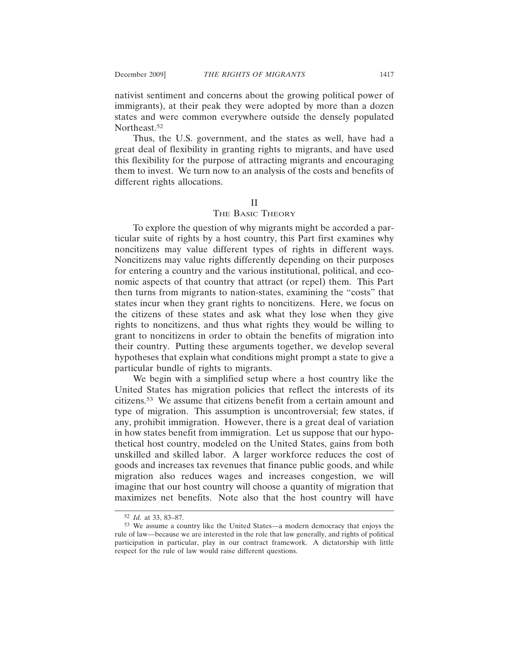nativist sentiment and concerns about the growing political power of immigrants), at their peak they were adopted by more than a dozen states and were common everywhere outside the densely populated Northeast.52

Thus, the U.S. government, and the states as well, have had a great deal of flexibility in granting rights to migrants, and have used this flexibility for the purpose of attracting migrants and encouraging them to invest. We turn now to an analysis of the costs and benefits of different rights allocations.

### II

#### THE BASIC THEORY

To explore the question of why migrants might be accorded a particular suite of rights by a host country, this Part first examines why noncitizens may value different types of rights in different ways. Noncitizens may value rights differently depending on their purposes for entering a country and the various institutional, political, and economic aspects of that country that attract (or repel) them. This Part then turns from migrants to nation-states, examining the "costs" that states incur when they grant rights to noncitizens. Here, we focus on the citizens of these states and ask what they lose when they give rights to noncitizens, and thus what rights they would be willing to grant to noncitizens in order to obtain the benefits of migration into their country. Putting these arguments together, we develop several hypotheses that explain what conditions might prompt a state to give a particular bundle of rights to migrants.

We begin with a simplified setup where a host country like the United States has migration policies that reflect the interests of its citizens.53 We assume that citizens benefit from a certain amount and type of migration. This assumption is uncontroversial; few states, if any, prohibit immigration. However, there is a great deal of variation in how states benefit from immigration. Let us suppose that our hypothetical host country, modeled on the United States, gains from both unskilled and skilled labor. A larger workforce reduces the cost of goods and increases tax revenues that finance public goods, and while migration also reduces wages and increases congestion, we will imagine that our host country will choose a quantity of migration that maximizes net benefits. Note also that the host country will have

<sup>52</sup> *Id.* at 33, 83–87.

<sup>53</sup> We assume a country like the United States—a modern democracy that enjoys the rule of law—because we are interested in the role that law generally, and rights of political participation in particular, play in our contract framework. A dictatorship with little respect for the rule of law would raise different questions.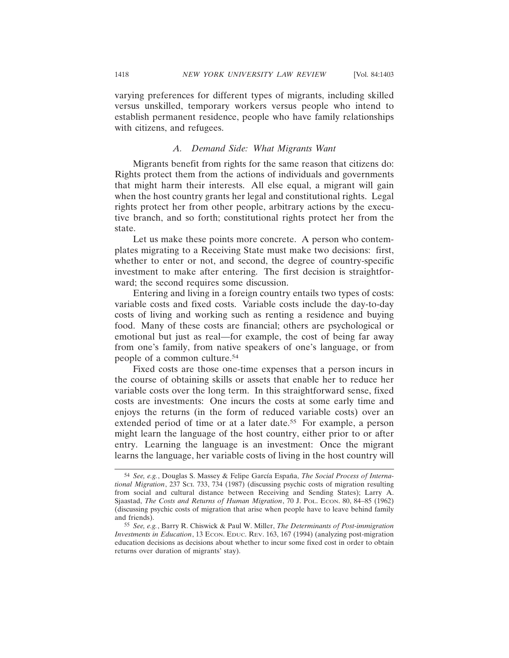varying preferences for different types of migrants, including skilled versus unskilled, temporary workers versus people who intend to establish permanent residence, people who have family relationships with citizens, and refugees.

#### *A. Demand Side: What Migrants Want*

Migrants benefit from rights for the same reason that citizens do: Rights protect them from the actions of individuals and governments that might harm their interests. All else equal, a migrant will gain when the host country grants her legal and constitutional rights. Legal rights protect her from other people, arbitrary actions by the executive branch, and so forth; constitutional rights protect her from the state.

Let us make these points more concrete. A person who contemplates migrating to a Receiving State must make two decisions: first, whether to enter or not, and second, the degree of country-specific investment to make after entering. The first decision is straightforward; the second requires some discussion.

Entering and living in a foreign country entails two types of costs: variable costs and fixed costs. Variable costs include the day-to-day costs of living and working such as renting a residence and buying food. Many of these costs are financial; others are psychological or emotional but just as real—for example, the cost of being far away from one's family, from native speakers of one's language, or from people of a common culture.54

Fixed costs are those one-time expenses that a person incurs in the course of obtaining skills or assets that enable her to reduce her variable costs over the long term. In this straightforward sense, fixed costs are investments: One incurs the costs at some early time and enjoys the returns (in the form of reduced variable costs) over an extended period of time or at a later date.<sup>55</sup> For example, a person might learn the language of the host country, either prior to or after entry. Learning the language is an investment: Once the migrant learns the language, her variable costs of living in the host country will

<sup>54</sup> See, e.g., Douglas S. Massey & Felipe García España, *The Social Process of International Migration*, 237 SCI. 733, 734 (1987) (discussing psychic costs of migration resulting from social and cultural distance between Receiving and Sending States); Larry A. Sjaastad, *The Costs and Returns of Human Migration*, 70 J. POL. ECON. 80, 84–85 (1962) (discussing psychic costs of migration that arise when people have to leave behind family and friends).

<sup>55</sup> *See, e.g.*, Barry R. Chiswick & Paul W. Miller, *The Determinants of Post-immigration Investments in Education*, 13 ECON. EDUC. REV. 163, 167 (1994) (analyzing post-migration education decisions as decisions about whether to incur some fixed cost in order to obtain returns over duration of migrants' stay).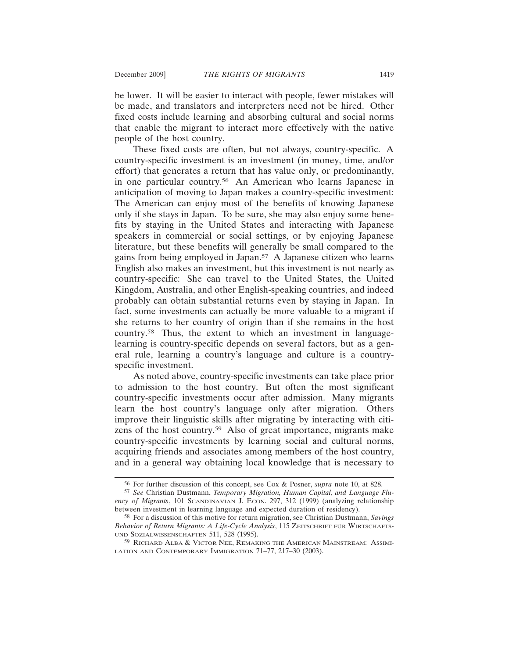be lower. It will be easier to interact with people, fewer mistakes will be made, and translators and interpreters need not be hired. Other fixed costs include learning and absorbing cultural and social norms that enable the migrant to interact more effectively with the native people of the host country.

These fixed costs are often, but not always, country-specific. A country-specific investment is an investment (in money, time, and/or effort) that generates a return that has value only, or predominantly, in one particular country.56 An American who learns Japanese in anticipation of moving to Japan makes a country-specific investment: The American can enjoy most of the benefits of knowing Japanese only if she stays in Japan. To be sure, she may also enjoy some benefits by staying in the United States and interacting with Japanese speakers in commercial or social settings, or by enjoying Japanese literature, but these benefits will generally be small compared to the gains from being employed in Japan.57 A Japanese citizen who learns English also makes an investment, but this investment is not nearly as country-specific: She can travel to the United States, the United Kingdom, Australia, and other English-speaking countries, and indeed probably can obtain substantial returns even by staying in Japan. In fact, some investments can actually be more valuable to a migrant if she returns to her country of origin than if she remains in the host country.58 Thus, the extent to which an investment in languagelearning is country-specific depends on several factors, but as a general rule, learning a country's language and culture is a countryspecific investment.

As noted above, country-specific investments can take place prior to admission to the host country. But often the most significant country-specific investments occur after admission. Many migrants learn the host country's language only after migration. Others improve their linguistic skills after migrating by interacting with citizens of the host country.59 Also of great importance, migrants make country-specific investments by learning social and cultural norms, acquiring friends and associates among members of the host country, and in a general way obtaining local knowledge that is necessary to

<sup>56</sup> For further discussion of this concept, see Cox & Posner, *supra* note 10, at 828.

<sup>57</sup> *See* Christian Dustmann, *Temporary Migration, Human Capital, and Language Fluency of Migrants*, 101 SCANDINAVIAN J. ECON. 297, 312 (1999) (analyzing relationship between investment in learning language and expected duration of residency).

<sup>58</sup> For a discussion of this motive for return migration, see Christian Dustmann, *Savings Behavior of Return Migrants: A Life-Cycle Analysis*, 115 ZEITSCHRIFT FUR¨ WIRTSCHAFTS-UND SOZIALWISSENSCHAFTEN 511, 528 (1995).

<sup>59</sup> RICHARD ALBA & VICTOR NEE, REMAKING THE AMERICAN MAINSTREAM: ASSIMI-LATION AND CONTEMPORARY IMMIGRATION 71-77, 217-30 (2003).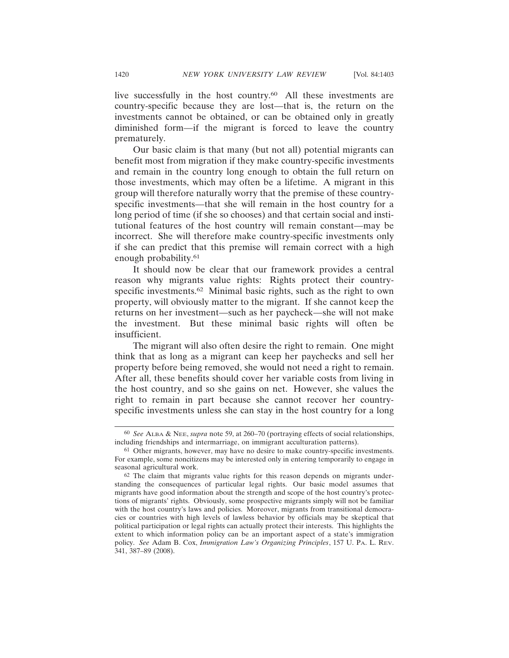live successfully in the host country.<sup>60</sup> All these investments are country-specific because they are lost—that is, the return on the investments cannot be obtained, or can be obtained only in greatly diminished form—if the migrant is forced to leave the country prematurely.

Our basic claim is that many (but not all) potential migrants can benefit most from migration if they make country-specific investments and remain in the country long enough to obtain the full return on those investments, which may often be a lifetime. A migrant in this group will therefore naturally worry that the premise of these countryspecific investments—that she will remain in the host country for a long period of time (if she so chooses) and that certain social and institutional features of the host country will remain constant—may be incorrect. She will therefore make country-specific investments only if she can predict that this premise will remain correct with a high enough probability.61

It should now be clear that our framework provides a central reason why migrants value rights: Rights protect their countryspecific investments.<sup>62</sup> Minimal basic rights, such as the right to own property, will obviously matter to the migrant. If she cannot keep the returns on her investment—such as her paycheck—she will not make the investment. But these minimal basic rights will often be insufficient.

The migrant will also often desire the right to remain. One might think that as long as a migrant can keep her paychecks and sell her property before being removed, she would not need a right to remain. After all, these benefits should cover her variable costs from living in the host country, and so she gains on net. However, she values the right to remain in part because she cannot recover her countryspecific investments unless she can stay in the host country for a long

<sup>60</sup> *See* ALBA & NEE, *supra* note 59, at 260–70 (portraying effects of social relationships, including friendships and intermarriage, on immigrant acculturation patterns).

<sup>61</sup> Other migrants, however, may have no desire to make country-specific investments. For example, some noncitizens may be interested only in entering temporarily to engage in seasonal agricultural work.

<sup>62</sup> The claim that migrants value rights for this reason depends on migrants understanding the consequences of particular legal rights. Our basic model assumes that migrants have good information about the strength and scope of the host country's protections of migrants' rights. Obviously, some prospective migrants simply will not be familiar with the host country's laws and policies. Moreover, migrants from transitional democracies or countries with high levels of lawless behavior by officials may be skeptical that political participation or legal rights can actually protect their interests. This highlights the extent to which information policy can be an important aspect of a state's immigration policy. *See* Adam B. Cox, *Immigration Law's Organizing Principles*, 157 U. PA. L. REV. 341, 387–89 (2008).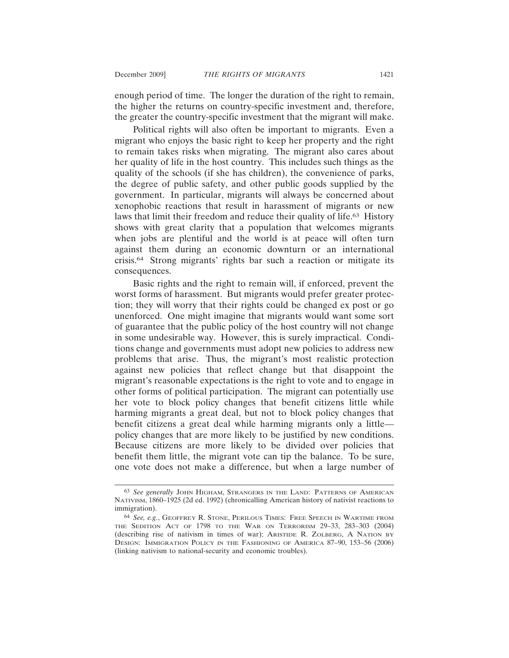enough period of time. The longer the duration of the right to remain, the higher the returns on country-specific investment and, therefore, the greater the country-specific investment that the migrant will make.

Political rights will also often be important to migrants. Even a migrant who enjoys the basic right to keep her property and the right to remain takes risks when migrating. The migrant also cares about her quality of life in the host country. This includes such things as the quality of the schools (if she has children), the convenience of parks, the degree of public safety, and other public goods supplied by the government. In particular, migrants will always be concerned about xenophobic reactions that result in harassment of migrants or new laws that limit their freedom and reduce their quality of life.63 History shows with great clarity that a population that welcomes migrants when jobs are plentiful and the world is at peace will often turn against them during an economic downturn or an international crisis.64 Strong migrants' rights bar such a reaction or mitigate its consequences.

Basic rights and the right to remain will, if enforced, prevent the worst forms of harassment. But migrants would prefer greater protection; they will worry that their rights could be changed ex post or go unenforced. One might imagine that migrants would want some sort of guarantee that the public policy of the host country will not change in some undesirable way. However, this is surely impractical. Conditions change and governments must adopt new policies to address new problems that arise. Thus, the migrant's most realistic protection against new policies that reflect change but that disappoint the migrant's reasonable expectations is the right to vote and to engage in other forms of political participation. The migrant can potentially use her vote to block policy changes that benefit citizens little while harming migrants a great deal, but not to block policy changes that benefit citizens a great deal while harming migrants only a little policy changes that are more likely to be justified by new conditions. Because citizens are more likely to be divided over policies that benefit them little, the migrant vote can tip the balance. To be sure, one vote does not make a difference, but when a large number of

<sup>63</sup> *See generally* JOHN HIGHAM, STRANGERS IN THE LAND: PATTERNS OF AMERICAN NATIVISM, 1860–1925 (2d ed. 1992) (chronicalling American history of nativist reactions to immigration).

<sup>64</sup> *See, e.g.*, GEOFFREY R. STONE, PERILOUS TIMES: FREE SPEECH IN WARTIME FROM THE SEDITION ACT OF 1798 TO THE WAR ON TERRORISM 29–33, 283–303 (2004) (describing rise of nativism in times of war); ARISTIDE R. ZOLBERG, A NATION BY DESIGN: IMMIGRATION POLICY IN THE FASHIONING OF AMERICA 87–90, 153–56 (2006) (linking nativism to national-security and economic troubles).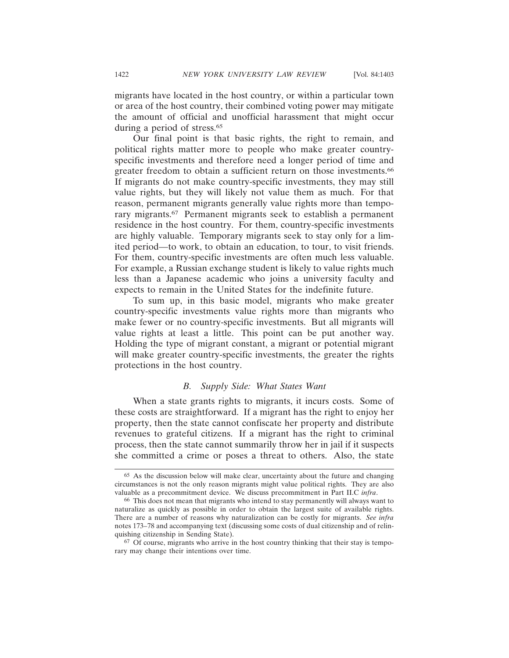migrants have located in the host country, or within a particular town or area of the host country, their combined voting power may mitigate the amount of official and unofficial harassment that might occur during a period of stress.<sup>65</sup>

Our final point is that basic rights, the right to remain, and political rights matter more to people who make greater countryspecific investments and therefore need a longer period of time and greater freedom to obtain a sufficient return on those investments.<sup>66</sup> If migrants do not make country-specific investments, they may still value rights, but they will likely not value them as much. For that reason, permanent migrants generally value rights more than temporary migrants.67 Permanent migrants seek to establish a permanent residence in the host country. For them, country-specific investments are highly valuable. Temporary migrants seek to stay only for a limited period—to work, to obtain an education, to tour, to visit friends. For them, country-specific investments are often much less valuable. For example, a Russian exchange student is likely to value rights much less than a Japanese academic who joins a university faculty and expects to remain in the United States for the indefinite future.

To sum up, in this basic model, migrants who make greater country-specific investments value rights more than migrants who make fewer or no country-specific investments. But all migrants will value rights at least a little. This point can be put another way. Holding the type of migrant constant, a migrant or potential migrant will make greater country-specific investments, the greater the rights protections in the host country.

#### *B. Supply Side: What States Want*

When a state grants rights to migrants, it incurs costs. Some of these costs are straightforward. If a migrant has the right to enjoy her property, then the state cannot confiscate her property and distribute revenues to grateful citizens. If a migrant has the right to criminal process, then the state cannot summarily throw her in jail if it suspects she committed a crime or poses a threat to others. Also, the state

<sup>65</sup> As the discussion below will make clear, uncertainty about the future and changing circumstances is not the only reason migrants might value political rights. They are also valuable as a precommitment device. We discuss precommitment in Part II.C *infra*.

<sup>66</sup> This does not mean that migrants who intend to stay permanently will always want to naturalize as quickly as possible in order to obtain the largest suite of available rights. There are a number of reasons why naturalization can be costly for migrants. *See infra* notes 173–78 and accompanying text (discussing some costs of dual citizenship and of relinquishing citizenship in Sending State).

<sup>67</sup> Of course, migrants who arrive in the host country thinking that their stay is temporary may change their intentions over time.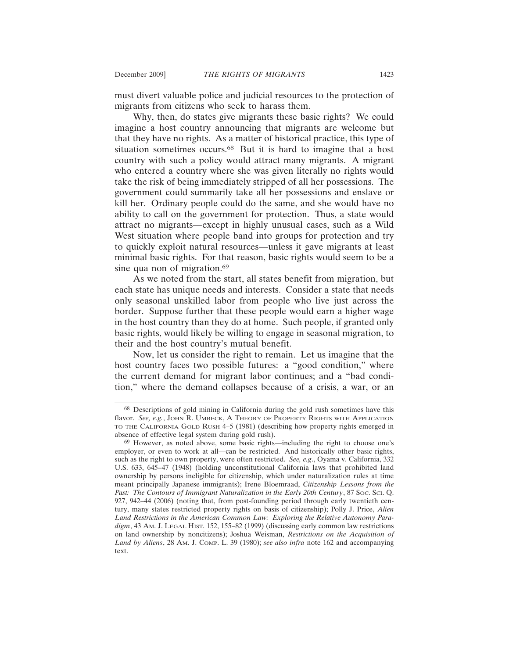must divert valuable police and judicial resources to the protection of migrants from citizens who seek to harass them.

Why, then, do states give migrants these basic rights? We could imagine a host country announcing that migrants are welcome but that they have no rights. As a matter of historical practice, this type of situation sometimes occurs.<sup>68</sup> But it is hard to imagine that a host country with such a policy would attract many migrants. A migrant who entered a country where she was given literally no rights would take the risk of being immediately stripped of all her possessions. The government could summarily take all her possessions and enslave or kill her. Ordinary people could do the same, and she would have no ability to call on the government for protection. Thus, a state would attract no migrants—except in highly unusual cases, such as a Wild West situation where people band into groups for protection and try to quickly exploit natural resources—unless it gave migrants at least minimal basic rights. For that reason, basic rights would seem to be a sine qua non of migration.<sup>69</sup>

As we noted from the start, all states benefit from migration, but each state has unique needs and interests. Consider a state that needs only seasonal unskilled labor from people who live just across the border. Suppose further that these people would earn a higher wage in the host country than they do at home. Such people, if granted only basic rights, would likely be willing to engage in seasonal migration, to their and the host country's mutual benefit.

Now, let us consider the right to remain. Let us imagine that the host country faces two possible futures: a "good condition," where the current demand for migrant labor continues; and a "bad condition," where the demand collapses because of a crisis, a war, or an

<sup>68</sup> Descriptions of gold mining in California during the gold rush sometimes have this flavor. *See, e.g.*, JOHN R. UMBECK, A THEORY OF PROPERTY RIGHTS WITH APPLICATION TO THE CALIFORNIA GOLD RUSH 4–5 (1981) (describing how property rights emerged in absence of effective legal system during gold rush).

<sup>69</sup> However, as noted above, some basic rights—including the right to choose one's employer, or even to work at all—can be restricted. And historically other basic rights, such as the right to own property, were often restricted. *See, e.g*., Oyama v. California, 332 U.S. 633, 645–47 (1948) (holding unconstitutional California laws that prohibited land ownership by persons ineligible for citizenship, which under naturalization rules at time meant principally Japanese immigrants); Irene Bloemraad, *Citizenship Lessons from the* Past: The Contours of Immigrant Naturalization in the Early 20th Century, 87 Soc. Sci. Q. 927, 942–44 (2006) (noting that, from post-founding period through early twentieth century, many states restricted property rights on basis of citizenship); Polly J. Price, *Alien Land Restrictions in the American Common Law: Exploring the Relative Autonomy Para*digm, 43 AM. J. LEGAL HIST. 152, 155–82 (1999) (discussing early common law restrictions on land ownership by noncitizens); Joshua Weisman, *Restrictions on the Acquisition of Land by Aliens*, 28 AM. J. COMP. L. 39 (1980); *see also infra* note 162 and accompanying text.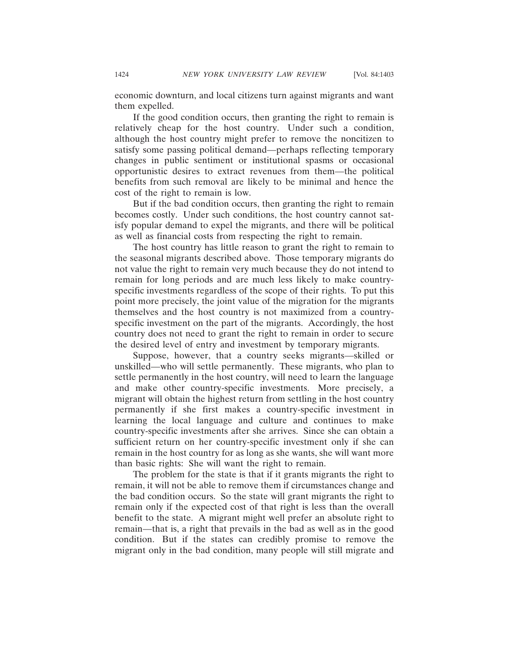economic downturn, and local citizens turn against migrants and want them expelled.

If the good condition occurs, then granting the right to remain is relatively cheap for the host country. Under such a condition, although the host country might prefer to remove the noncitizen to satisfy some passing political demand—perhaps reflecting temporary changes in public sentiment or institutional spasms or occasional opportunistic desires to extract revenues from them—the political benefits from such removal are likely to be minimal and hence the cost of the right to remain is low.

But if the bad condition occurs, then granting the right to remain becomes costly. Under such conditions, the host country cannot satisfy popular demand to expel the migrants, and there will be political as well as financial costs from respecting the right to remain.

The host country has little reason to grant the right to remain to the seasonal migrants described above. Those temporary migrants do not value the right to remain very much because they do not intend to remain for long periods and are much less likely to make countryspecific investments regardless of the scope of their rights. To put this point more precisely, the joint value of the migration for the migrants themselves and the host country is not maximized from a countryspecific investment on the part of the migrants. Accordingly, the host country does not need to grant the right to remain in order to secure the desired level of entry and investment by temporary migrants.

Suppose, however, that a country seeks migrants—skilled or unskilled—who will settle permanently. These migrants, who plan to settle permanently in the host country, will need to learn the language and make other country-specific investments. More precisely, a migrant will obtain the highest return from settling in the host country permanently if she first makes a country-specific investment in learning the local language and culture and continues to make country-specific investments after she arrives. Since she can obtain a sufficient return on her country-specific investment only if she can remain in the host country for as long as she wants, she will want more than basic rights: She will want the right to remain.

The problem for the state is that if it grants migrants the right to remain, it will not be able to remove them if circumstances change and the bad condition occurs. So the state will grant migrants the right to remain only if the expected cost of that right is less than the overall benefit to the state. A migrant might well prefer an absolute right to remain—that is, a right that prevails in the bad as well as in the good condition. But if the states can credibly promise to remove the migrant only in the bad condition, many people will still migrate and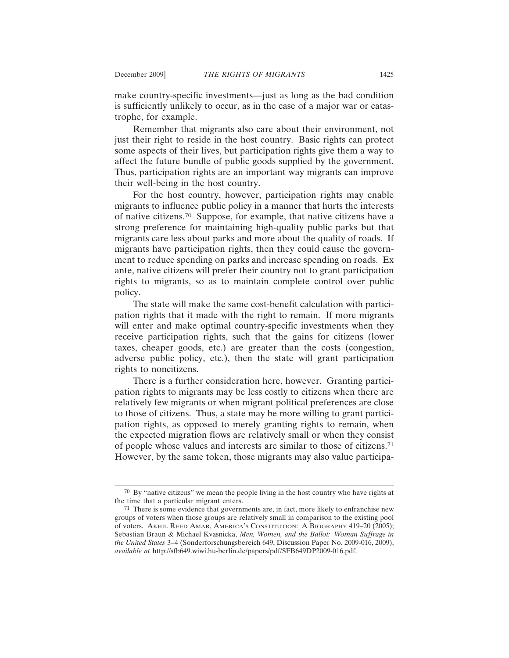make country-specific investments—just as long as the bad condition is sufficiently unlikely to occur, as in the case of a major war or catastrophe, for example.

Remember that migrants also care about their environment, not just their right to reside in the host country. Basic rights can protect some aspects of their lives, but participation rights give them a way to affect the future bundle of public goods supplied by the government. Thus, participation rights are an important way migrants can improve their well-being in the host country.

For the host country, however, participation rights may enable migrants to influence public policy in a manner that hurts the interests of native citizens.70 Suppose, for example, that native citizens have a strong preference for maintaining high-quality public parks but that migrants care less about parks and more about the quality of roads. If migrants have participation rights, then they could cause the government to reduce spending on parks and increase spending on roads. Ex ante, native citizens will prefer their country not to grant participation rights to migrants, so as to maintain complete control over public policy.

The state will make the same cost-benefit calculation with participation rights that it made with the right to remain. If more migrants will enter and make optimal country-specific investments when they receive participation rights, such that the gains for citizens (lower taxes, cheaper goods, etc.) are greater than the costs (congestion, adverse public policy, etc.), then the state will grant participation rights to noncitizens.

There is a further consideration here, however. Granting participation rights to migrants may be less costly to citizens when there are relatively few migrants or when migrant political preferences are close to those of citizens. Thus, a state may be more willing to grant participation rights, as opposed to merely granting rights to remain, when the expected migration flows are relatively small or when they consist of people whose values and interests are similar to those of citizens.71 However, by the same token, those migrants may also value participa-

<sup>70</sup> By "native citizens" we mean the people living in the host country who have rights at the time that a particular migrant enters.

 $71$  There is some evidence that governments are, in fact, more likely to enfranchise new groups of voters when those groups are relatively small in comparison to the existing pool of voters. AKHIL REED AMAR, AMERICA'S CONSTITUTION: A BIOGRAPHY 419–20 (2005); Sebastian Braun & Michael Kvasnicka, *Men, Women, and the Ballot: Woman Suffrage in the United States* 3–4 (Sonderforschungsbereich 649, Discussion Paper No. 2009-016, 2009), *available at* http://sfb649.wiwi.hu-berlin.de/papers/pdf/SFB649DP2009-016.pdf.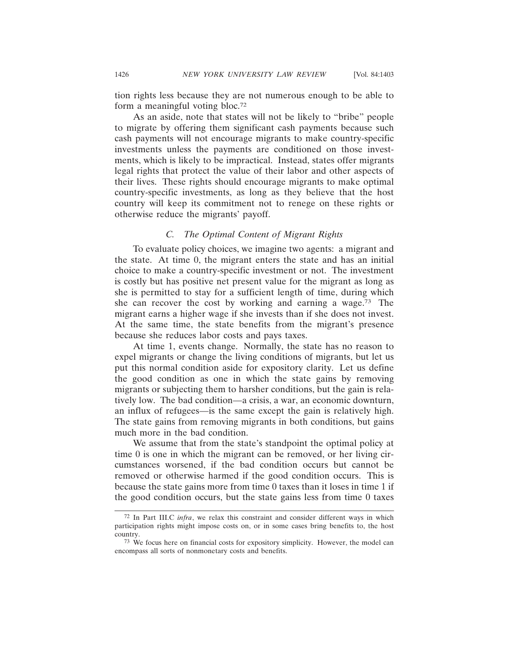tion rights less because they are not numerous enough to be able to form a meaningful voting bloc.72

As an aside, note that states will not be likely to "bribe" people to migrate by offering them significant cash payments because such cash payments will not encourage migrants to make country-specific investments unless the payments are conditioned on those investments, which is likely to be impractical. Instead, states offer migrants legal rights that protect the value of their labor and other aspects of their lives. These rights should encourage migrants to make optimal country-specific investments, as long as they believe that the host country will keep its commitment not to renege on these rights or otherwise reduce the migrants' payoff.

## *C. The Optimal Content of Migrant Rights*

To evaluate policy choices, we imagine two agents: a migrant and the state. At time 0, the migrant enters the state and has an initial choice to make a country-specific investment or not. The investment is costly but has positive net present value for the migrant as long as she is permitted to stay for a sufficient length of time, during which she can recover the cost by working and earning a wage.73 The migrant earns a higher wage if she invests than if she does not invest. At the same time, the state benefits from the migrant's presence because she reduces labor costs and pays taxes.

At time 1, events change. Normally, the state has no reason to expel migrants or change the living conditions of migrants, but let us put this normal condition aside for expository clarity. Let us define the good condition as one in which the state gains by removing migrants or subjecting them to harsher conditions, but the gain is relatively low. The bad condition—a crisis, a war, an economic downturn, an influx of refugees—is the same except the gain is relatively high. The state gains from removing migrants in both conditions, but gains much more in the bad condition.

We assume that from the state's standpoint the optimal policy at time 0 is one in which the migrant can be removed, or her living circumstances worsened, if the bad condition occurs but cannot be removed or otherwise harmed if the good condition occurs. This is because the state gains more from time 0 taxes than it loses in time 1 if the good condition occurs, but the state gains less from time 0 taxes

<sup>72</sup> In Part III.C *infra*, we relax this constraint and consider different ways in which participation rights might impose costs on, or in some cases bring benefits to, the host country.

<sup>73</sup> We focus here on financial costs for expository simplicity. However, the model can encompass all sorts of nonmonetary costs and benefits.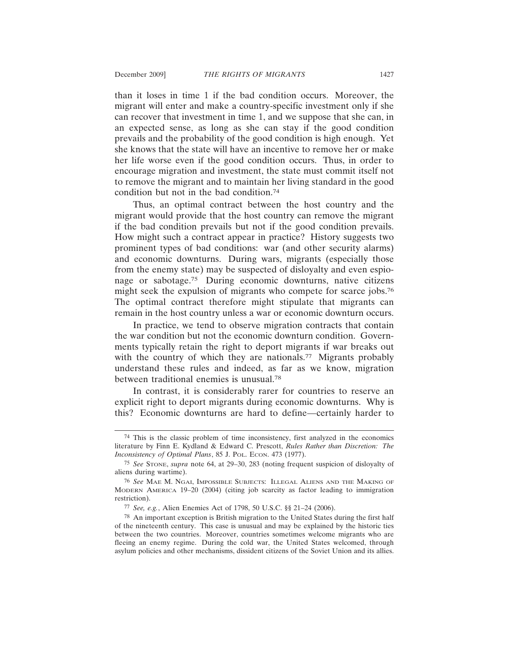than it loses in time 1 if the bad condition occurs. Moreover, the migrant will enter and make a country-specific investment only if she can recover that investment in time 1, and we suppose that she can, in an expected sense, as long as she can stay if the good condition prevails and the probability of the good condition is high enough. Yet she knows that the state will have an incentive to remove her or make her life worse even if the good condition occurs. Thus, in order to encourage migration and investment, the state must commit itself not to remove the migrant and to maintain her living standard in the good condition but not in the bad condition.74

Thus, an optimal contract between the host country and the migrant would provide that the host country can remove the migrant if the bad condition prevails but not if the good condition prevails. How might such a contract appear in practice? History suggests two prominent types of bad conditions: war (and other security alarms) and economic downturns. During wars, migrants (especially those from the enemy state) may be suspected of disloyalty and even espionage or sabotage.75 During economic downturns, native citizens might seek the expulsion of migrants who compete for scarce jobs.<sup>76</sup> The optimal contract therefore might stipulate that migrants can remain in the host country unless a war or economic downturn occurs.

In practice, we tend to observe migration contracts that contain the war condition but not the economic downturn condition. Governments typically retain the right to deport migrants if war breaks out with the country of which they are nationals.<sup>77</sup> Migrants probably understand these rules and indeed, as far as we know, migration between traditional enemies is unusual.78

In contrast, it is considerably rarer for countries to reserve an explicit right to deport migrants during economic downturns. Why is this? Economic downturns are hard to define—certainly harder to

<sup>74</sup> This is the classic problem of time inconsistency, first analyzed in the economics literature by Finn E. Kydland & Edward C. Prescott, *Rules Rather than Discretion: The Inconsistency of Optimal Plans*, 85 J. Pol. Econ. 473 (1977).

<sup>75</sup> *See* STONE, *supra* note 64, at 29–30, 283 (noting frequent suspicion of disloyalty of aliens during wartime).

<sup>76</sup> *See* MAE M. NGAI, IMPOSSIBLE SUBJECTS: ILLEGAL ALIENS AND THE MAKING OF MODERN AMERICA 19–20 (2004) (citing job scarcity as factor leading to immigration restriction).

<sup>77</sup> *See, e.g.*, Alien Enemies Act of 1798, 50 U.S.C. §§ 21–24 (2006).

<sup>78</sup> An important exception is British migration to the United States during the first half of the nineteenth century. This case is unusual and may be explained by the historic ties between the two countries. Moreover, countries sometimes welcome migrants who are fleeing an enemy regime. During the cold war, the United States welcomed, through asylum policies and other mechanisms, dissident citizens of the Soviet Union and its allies.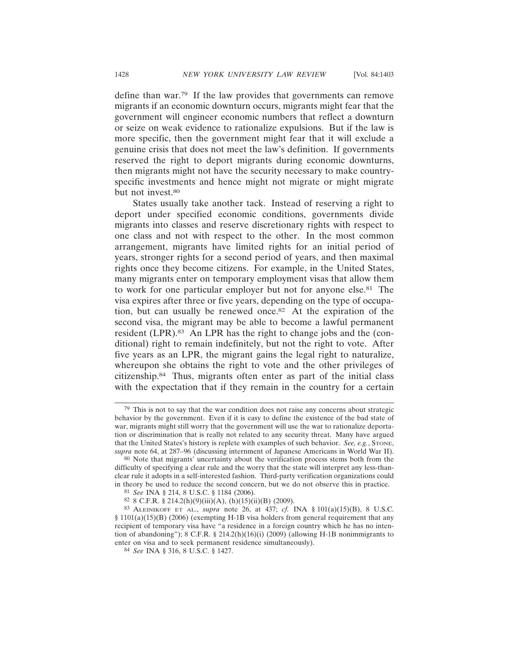define than war.79 If the law provides that governments can remove migrants if an economic downturn occurs, migrants might fear that the government will engineer economic numbers that reflect a downturn or seize on weak evidence to rationalize expulsions. But if the law is more specific, then the government might fear that it will exclude a genuine crisis that does not meet the law's definition. If governments reserved the right to deport migrants during economic downturns, then migrants might not have the security necessary to make countryspecific investments and hence might not migrate or might migrate but not invest.<sup>80</sup>

States usually take another tack. Instead of reserving a right to deport under specified economic conditions, governments divide migrants into classes and reserve discretionary rights with respect to one class and not with respect to the other. In the most common arrangement, migrants have limited rights for an initial period of years, stronger rights for a second period of years, and then maximal rights once they become citizens. For example, in the United States, many migrants enter on temporary employment visas that allow them to work for one particular employer but not for anyone else.81 The visa expires after three or five years, depending on the type of occupation, but can usually be renewed once.82 At the expiration of the second visa, the migrant may be able to become a lawful permanent resident (LPR).83 An LPR has the right to change jobs and the (conditional) right to remain indefinitely, but not the right to vote. After five years as an LPR, the migrant gains the legal right to naturalize, whereupon she obtains the right to vote and the other privileges of citizenship.84 Thus, migrants often enter as part of the initial class with the expectation that if they remain in the country for a certain

<sup>79</sup> This is not to say that the war condition does not raise any concerns about strategic behavior by the government. Even if it is easy to define the existence of the bad state of war, migrants might still worry that the government will use the war to rationalize deportation or discrimination that is really not related to any security threat. Many have argued that the United States's history is replete with examples of such behavior. *See, e.g.*, STONE, *supra* note 64, at 287–96 (discussing internment of Japanese Americans in World War II).

<sup>80</sup> Note that migrants' uncertainty about the verification process stems both from the difficulty of specifying a clear rule and the worry that the state will interpret any less-thanclear rule it adopts in a self-interested fashion. Third-party verification organizations could in theory be used to reduce the second concern, but we do not observe this in practice.

<sup>81</sup> *See* INA § 214, 8 U.S.C. § 1184 (2006).

<sup>82 8</sup> C.F.R. § 214.2(h)(9)(iii)(A), (h)(15)(ii)(B) (2009).

<sup>83</sup> ALEINIKOFF ET AL., *supra* note 26, at 437; *cf.* INA § 101(a)(15)(B), 8 U.S.C. § 1101(a)(15)(B) (2006) (exempting H-1B visa holders from general requirement that any recipient of temporary visa have "a residence in a foreign country which he has no intention of abandoning"); 8 C.F.R. § 214.2(h)(16)(i) (2009) (allowing H-1B nonimmigrants to enter on visa and to seek permanent residence simultaneously).

<sup>84</sup> *See* INA § 316, 8 U.S.C. § 1427.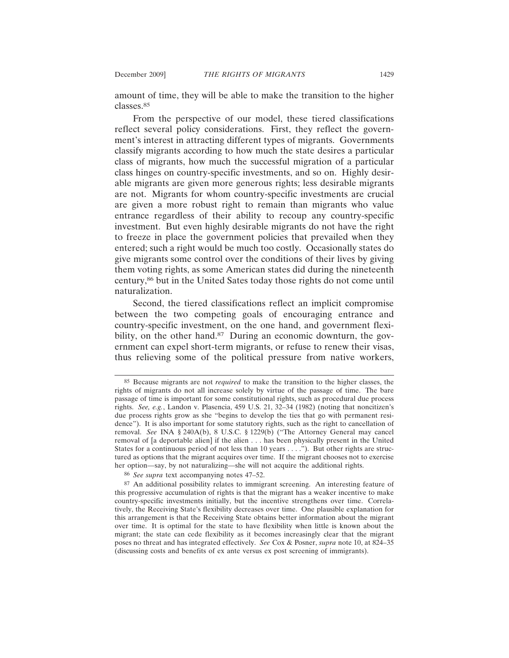amount of time, they will be able to make the transition to the higher classes.85

From the perspective of our model, these tiered classifications reflect several policy considerations. First, they reflect the government's interest in attracting different types of migrants. Governments classify migrants according to how much the state desires a particular class of migrants, how much the successful migration of a particular class hinges on country-specific investments, and so on. Highly desirable migrants are given more generous rights; less desirable migrants are not. Migrants for whom country-specific investments are crucial are given a more robust right to remain than migrants who value entrance regardless of their ability to recoup any country-specific investment. But even highly desirable migrants do not have the right to freeze in place the government policies that prevailed when they entered; such a right would be much too costly. Occasionally states do give migrants some control over the conditions of their lives by giving them voting rights, as some American states did during the nineteenth century,86 but in the United Sates today those rights do not come until naturalization.

Second, the tiered classifications reflect an implicit compromise between the two competing goals of encouraging entrance and country-specific investment, on the one hand, and government flexibility, on the other hand.<sup>87</sup> During an economic downturn, the government can expel short-term migrants, or refuse to renew their visas, thus relieving some of the political pressure from native workers,

<sup>85</sup> Because migrants are not *required* to make the transition to the higher classes, the rights of migrants do not all increase solely by virtue of the passage of time. The bare passage of time is important for some constitutional rights, such as procedural due process rights. *See, e.g.*, Landon v. Plasencia, 459 U.S. 21, 32–34 (1982) (noting that noncitizen's due process rights grow as she "begins to develop the ties that go with permanent residence"). It is also important for some statutory rights, such as the right to cancellation of removal. *See* INA § 240A(b), 8 U.S.C. § 1229(b) ("The Attorney General may cancel removal of [a deportable alien] if the alien . . . has been physically present in the United States for a continuous period of not less than 10 years . . . ."). But other rights are structured as options that the migrant acquires over time. If the migrant chooses not to exercise her option—say, by not naturalizing—she will not acquire the additional rights.

<sup>86</sup> *See supra* text accompanying notes 47–52.

<sup>87</sup> An additional possibility relates to immigrant screening. An interesting feature of this progressive accumulation of rights is that the migrant has a weaker incentive to make country-specific investments initially, but the incentive strengthens over time. Correlatively, the Receiving State's flexibility decreases over time. One plausible explanation for this arrangement is that the Receiving State obtains better information about the migrant over time. It is optimal for the state to have flexibility when little is known about the migrant; the state can cede flexibility as it becomes increasingly clear that the migrant poses no threat and has integrated effectively. *See* Cox & Posner, *supra* note 10, at 824–35 (discussing costs and benefits of ex ante versus ex post screening of immigrants).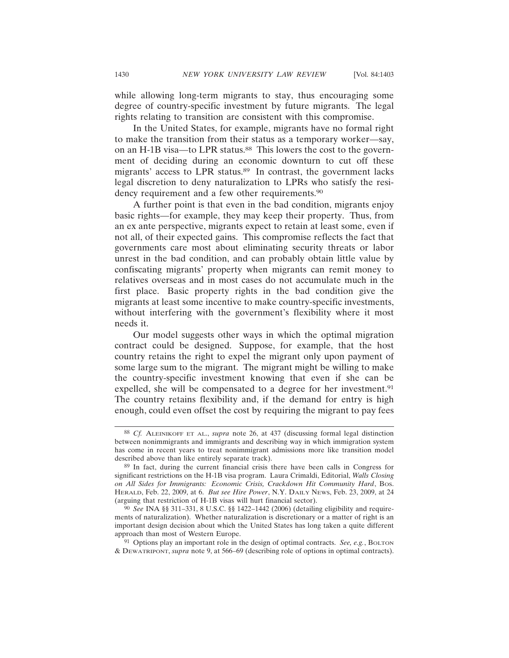while allowing long-term migrants to stay, thus encouraging some degree of country-specific investment by future migrants. The legal rights relating to transition are consistent with this compromise.

In the United States, for example, migrants have no formal right to make the transition from their status as a temporary worker—say, on an H-1B visa—to LPR status.<sup>88</sup> This lowers the cost to the government of deciding during an economic downturn to cut off these migrants' access to LPR status.<sup>89</sup> In contrast, the government lacks legal discretion to deny naturalization to LPRs who satisfy the residency requirement and a few other requirements.<sup>90</sup>

A further point is that even in the bad condition, migrants enjoy basic rights—for example, they may keep their property. Thus, from an ex ante perspective, migrants expect to retain at least some, even if not all, of their expected gains. This compromise reflects the fact that governments care most about eliminating security threats or labor unrest in the bad condition, and can probably obtain little value by confiscating migrants' property when migrants can remit money to relatives overseas and in most cases do not accumulate much in the first place. Basic property rights in the bad condition give the migrants at least some incentive to make country-specific investments, without interfering with the government's flexibility where it most needs it.

Our model suggests other ways in which the optimal migration contract could be designed. Suppose, for example, that the host country retains the right to expel the migrant only upon payment of some large sum to the migrant. The migrant might be willing to make the country-specific investment knowing that even if she can be expelled, she will be compensated to a degree for her investment.<sup>91</sup> The country retains flexibility and, if the demand for entry is high enough, could even offset the cost by requiring the migrant to pay fees

<sup>88</sup> *Cf.* ALEINIKOFF ET AL., *supra* note 26, at 437 (discussing formal legal distinction between nonimmigrants and immigrants and describing way in which immigration system has come in recent years to treat nonimmigrant admissions more like transition model described above than like entirely separate track).

<sup>89</sup> In fact, during the current financial crisis there have been calls in Congress for significant restrictions on the H-1B visa program. Laura Crimaldi, Editorial, *Walls Closing on All Sides for Immigrants: Economic Crisis, Crackdown Hit Community Hard*, BOS. HERALD, Feb. 22, 2009, at 6. *But see Hire Power*, N.Y. DAILY NEWS, Feb. 23, 2009, at 24 (arguing that restriction of H-1B visas will hurt financial sector).

<sup>90</sup> *See* INA §§ 311–331, 8 U.S.C. §§ 1422–1442 (2006) (detailing eligibility and requirements of naturalization). Whether naturalization is discretionary or a matter of right is an important design decision about which the United States has long taken a quite different approach than most of Western Europe.

<sup>91</sup> Options play an important role in the design of optimal contracts. *See, e.g.*, BOLTON & DEWATRIPONT, *supra* note 9, at 566–69 (describing role of options in optimal contracts).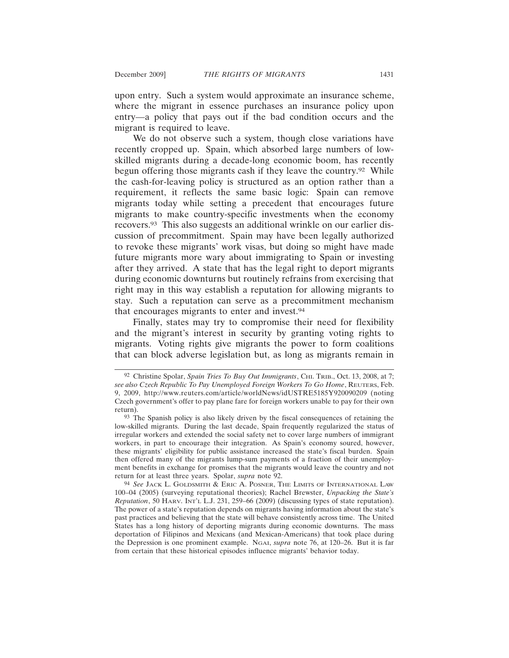upon entry. Such a system would approximate an insurance scheme, where the migrant in essence purchases an insurance policy upon entry—a policy that pays out if the bad condition occurs and the migrant is required to leave.

We do not observe such a system, though close variations have recently cropped up. Spain, which absorbed large numbers of lowskilled migrants during a decade-long economic boom, has recently begun offering those migrants cash if they leave the country.<sup>92</sup> While the cash-for-leaving policy is structured as an option rather than a requirement, it reflects the same basic logic: Spain can remove migrants today while setting a precedent that encourages future migrants to make country-specific investments when the economy recovers.93 This also suggests an additional wrinkle on our earlier discussion of precommitment. Spain may have been legally authorized to revoke these migrants' work visas, but doing so might have made future migrants more wary about immigrating to Spain or investing after they arrived. A state that has the legal right to deport migrants during economic downturns but routinely refrains from exercising that right may in this way establish a reputation for allowing migrants to stay. Such a reputation can serve as a precommitment mechanism that encourages migrants to enter and invest.94

Finally, states may try to compromise their need for flexibility and the migrant's interest in security by granting voting rights to migrants. Voting rights give migrants the power to form coalitions that can block adverse legislation but, as long as migrants remain in

<sup>92</sup> Christine Spolar, *Spain Tries To Buy Out Immigrants*, CHI. TRIB., Oct. 13, 2008, at 7; *see also Czech Republic To Pay Unemployed Foreign Workers To Go Home*, REUTERS, Feb. 9, 2009, http://www.reuters.com/article/worldNews/idUSTRE5185Y920090209 (noting Czech government's offer to pay plane fare for foreign workers unable to pay for their own return).

<sup>93</sup> The Spanish policy is also likely driven by the fiscal consequences of retaining the low-skilled migrants. During the last decade, Spain frequently regularized the status of irregular workers and extended the social safety net to cover large numbers of immigrant workers, in part to encourage their integration. As Spain's economy soured, however, these migrants' eligibility for public assistance increased the state's fiscal burden. Spain then offered many of the migrants lump-sum payments of a fraction of their unemployment benefits in exchange for promises that the migrants would leave the country and not return for at least three years. Spolar, *supra* note 92.

<sup>94</sup> *See* JACK L. GOLDSMITH & ERIC A. POSNER, THE LIMITS OF INTERNATIONAL LAW 100–04 (2005) (surveying reputational theories); Rachel Brewster, *Unpacking the State's Reputation*, 50 HARV. INT'L L.J. 231, 259–66 (2009) (discussing types of state reputation). The power of a state's reputation depends on migrants having information about the state's past practices and believing that the state will behave consistently across time. The United States has a long history of deporting migrants during economic downturns. The mass deportation of Filipinos and Mexicans (and Mexican-Americans) that took place during the Depression is one prominent example. NGAI, *supra* note 76, at 120–26. But it is far from certain that these historical episodes influence migrants' behavior today.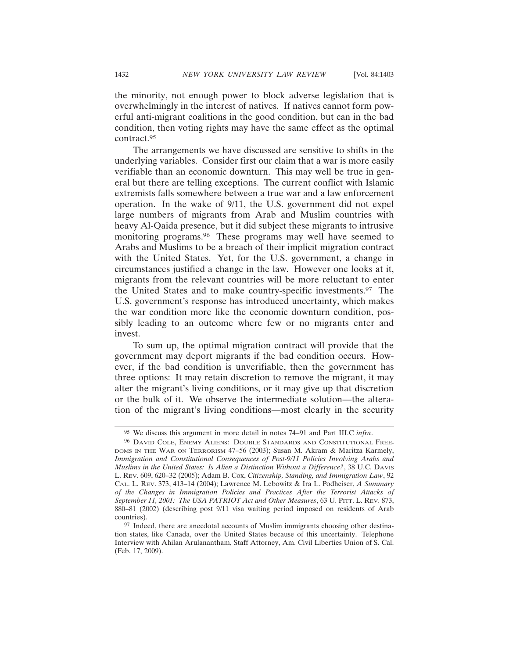the minority, not enough power to block adverse legislation that is overwhelmingly in the interest of natives. If natives cannot form powerful anti-migrant coalitions in the good condition, but can in the bad condition, then voting rights may have the same effect as the optimal contract.95

The arrangements we have discussed are sensitive to shifts in the underlying variables. Consider first our claim that a war is more easily verifiable than an economic downturn. This may well be true in general but there are telling exceptions. The current conflict with Islamic extremists falls somewhere between a true war and a law enforcement operation. In the wake of 9/11, the U.S. government did not expel large numbers of migrants from Arab and Muslim countries with heavy Al-Qaida presence, but it did subject these migrants to intrusive monitoring programs.96 These programs may well have seemed to Arabs and Muslims to be a breach of their implicit migration contract with the United States. Yet, for the U.S. government, a change in circumstances justified a change in the law. However one looks at it, migrants from the relevant countries will be more reluctant to enter the United States and to make country-specific investments.97 The U.S. government's response has introduced uncertainty, which makes the war condition more like the economic downturn condition, possibly leading to an outcome where few or no migrants enter and invest.

To sum up, the optimal migration contract will provide that the government may deport migrants if the bad condition occurs. However, if the bad condition is unverifiable, then the government has three options: It may retain discretion to remove the migrant, it may alter the migrant's living conditions, or it may give up that discretion or the bulk of it. We observe the intermediate solution—the alteration of the migrant's living conditions—most clearly in the security

<sup>95</sup> We discuss this argument in more detail in notes 74–91 and Part III.C *infra*.

<sup>96</sup> DAVID COLE, ENEMY ALIENS: DOUBLE STANDARDS AND CONSTITUTIONAL FREE-DOMS IN THE WAR ON TERRORISM 47–56 (2003); Susan M. Akram & Maritza Karmely, *Immigration and Constitutional Consequences of Post-9/11 Policies Involving Arabs and Muslims in the United States: Is Alien a Distinction Without a Difference?*, 38 U.C. DAVIS L. REV. 609, 620–32 (2005); Adam B. Cox, *Citizenship, Standing, and Immigration Law*, 92 CAL. L. REV. 373, 413–14 (2004); Lawrence M. Lebowitz & Ira L. Podheiser, *A Summary of the Changes in Immigration Policies and Practices After the Terrorist Attacks of September 11, 2001: The USA PATRIOT Act and Other Measures*, 63 U. PITT. L. REV. 873, 880–81 (2002) (describing post 9/11 visa waiting period imposed on residents of Arab countries).

<sup>97</sup> Indeed, there are anecdotal accounts of Muslim immigrants choosing other destination states, like Canada, over the United States because of this uncertainty. Telephone Interview with Ahilan Arulanantham, Staff Attorney, Am. Civil Liberties Union of S. Cal. (Feb. 17, 2009).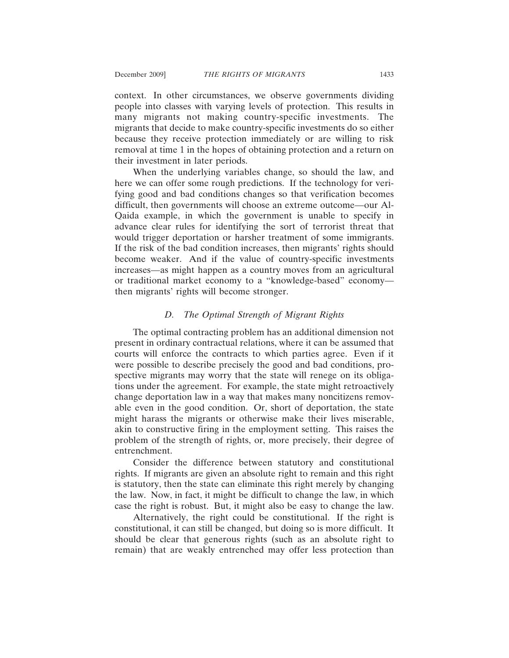context. In other circumstances, we observe governments dividing people into classes with varying levels of protection. This results in many migrants not making country-specific investments. The migrants that decide to make country-specific investments do so either because they receive protection immediately or are willing to risk removal at time 1 in the hopes of obtaining protection and a return on their investment in later periods.

When the underlying variables change, so should the law, and here we can offer some rough predictions. If the technology for verifying good and bad conditions changes so that verification becomes difficult, then governments will choose an extreme outcome—our Al-Qaida example, in which the government is unable to specify in advance clear rules for identifying the sort of terrorist threat that would trigger deportation or harsher treatment of some immigrants. If the risk of the bad condition increases, then migrants' rights should become weaker. And if the value of country-specific investments increases—as might happen as a country moves from an agricultural or traditional market economy to a "knowledge-based" economy then migrants' rights will become stronger.

# *D. The Optimal Strength of Migrant Rights*

The optimal contracting problem has an additional dimension not present in ordinary contractual relations, where it can be assumed that courts will enforce the contracts to which parties agree. Even if it were possible to describe precisely the good and bad conditions, prospective migrants may worry that the state will renege on its obligations under the agreement. For example, the state might retroactively change deportation law in a way that makes many noncitizens removable even in the good condition. Or, short of deportation, the state might harass the migrants or otherwise make their lives miserable, akin to constructive firing in the employment setting. This raises the problem of the strength of rights, or, more precisely, their degree of entrenchment.

Consider the difference between statutory and constitutional rights. If migrants are given an absolute right to remain and this right is statutory, then the state can eliminate this right merely by changing the law. Now, in fact, it might be difficult to change the law, in which case the right is robust. But, it might also be easy to change the law.

Alternatively, the right could be constitutional. If the right is constitutional, it can still be changed, but doing so is more difficult. It should be clear that generous rights (such as an absolute right to remain) that are weakly entrenched may offer less protection than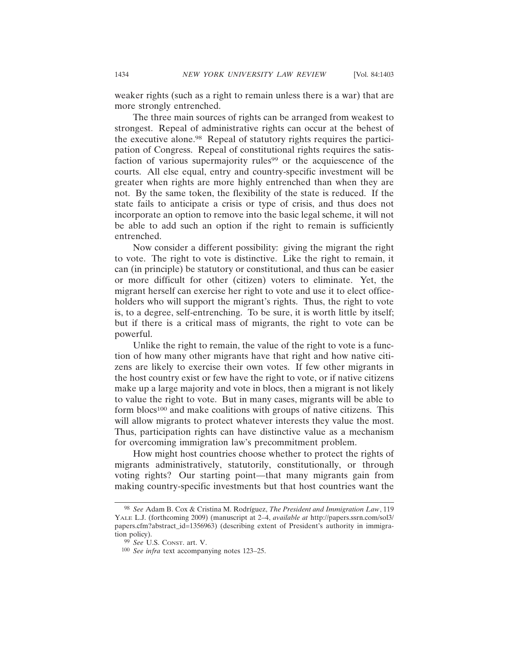weaker rights (such as a right to remain unless there is a war) that are more strongly entrenched.

The three main sources of rights can be arranged from weakest to strongest. Repeal of administrative rights can occur at the behest of the executive alone.98 Repeal of statutory rights requires the participation of Congress. Repeal of constitutional rights requires the satisfaction of various supermajority rules<sup>99</sup> or the acquiescence of the courts. All else equal, entry and country-specific investment will be greater when rights are more highly entrenched than when they are not. By the same token, the flexibility of the state is reduced. If the state fails to anticipate a crisis or type of crisis, and thus does not incorporate an option to remove into the basic legal scheme, it will not be able to add such an option if the right to remain is sufficiently entrenched.

Now consider a different possibility: giving the migrant the right to vote. The right to vote is distinctive. Like the right to remain, it can (in principle) be statutory or constitutional, and thus can be easier or more difficult for other (citizen) voters to eliminate. Yet, the migrant herself can exercise her right to vote and use it to elect officeholders who will support the migrant's rights. Thus, the right to vote is, to a degree, self-entrenching. To be sure, it is worth little by itself; but if there is a critical mass of migrants, the right to vote can be powerful.

Unlike the right to remain, the value of the right to vote is a function of how many other migrants have that right and how native citizens are likely to exercise their own votes. If few other migrants in the host country exist or few have the right to vote, or if native citizens make up a large majority and vote in blocs, then a migrant is not likely to value the right to vote. But in many cases, migrants will be able to form blocs<sup>100</sup> and make coalitions with groups of native citizens. This will allow migrants to protect whatever interests they value the most. Thus, participation rights can have distinctive value as a mechanism for overcoming immigration law's precommitment problem.

How might host countries choose whether to protect the rights of migrants administratively, statutorily, constitutionally, or through voting rights? Our starting point—that many migrants gain from making country-specific investments but that host countries want the

<sup>98</sup> *See* Adam B. Cox & Cristina M. Rodr´ıguez, *The President and Immigration Law*, 119 YALE L.J. (forthcoming 2009) (manuscript at 2–4, *available at* http://papers.ssrn.com/sol3/ papers.cfm?abstract\_id=1356963) (describing extent of President's authority in immigration policy).

<sup>99</sup> *See* U.S. CONST. art. V.

<sup>100</sup> *See infra* text accompanying notes 123–25.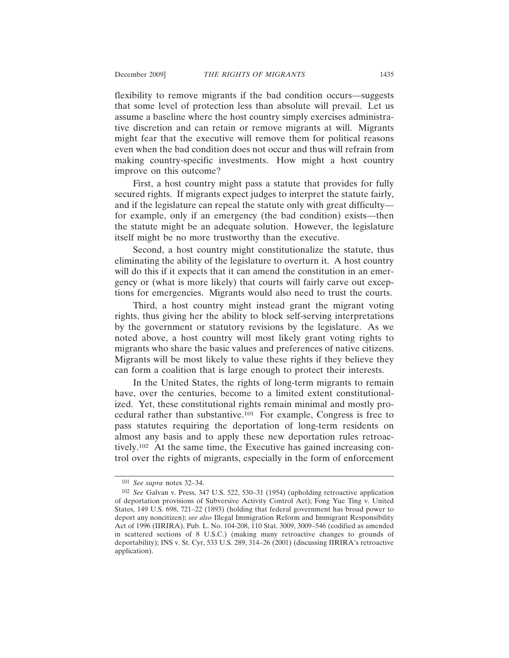flexibility to remove migrants if the bad condition occurs—suggests that some level of protection less than absolute will prevail. Let us assume a baseline where the host country simply exercises administrative discretion and can retain or remove migrants at will. Migrants might fear that the executive will remove them for political reasons even when the bad condition does not occur and thus will refrain from making country-specific investments. How might a host country improve on this outcome?

First, a host country might pass a statute that provides for fully secured rights. If migrants expect judges to interpret the statute fairly, and if the legislature can repeal the statute only with great difficulty for example, only if an emergency (the bad condition) exists—then the statute might be an adequate solution. However, the legislature itself might be no more trustworthy than the executive.

Second, a host country might constitutionalize the statute, thus eliminating the ability of the legislature to overturn it. A host country will do this if it expects that it can amend the constitution in an emergency or (what is more likely) that courts will fairly carve out exceptions for emergencies. Migrants would also need to trust the courts.

Third, a host country might instead grant the migrant voting rights, thus giving her the ability to block self-serving interpretations by the government or statutory revisions by the legislature. As we noted above, a host country will most likely grant voting rights to migrants who share the basic values and preferences of native citizens. Migrants will be most likely to value these rights if they believe they can form a coalition that is large enough to protect their interests.

In the United States, the rights of long-term migrants to remain have, over the centuries, become to a limited extent constitutionalized. Yet, these constitutional rights remain minimal and mostly procedural rather than substantive.101 For example, Congress is free to pass statutes requiring the deportation of long-term residents on almost any basis and to apply these new deportation rules retroactively.102 At the same time, the Executive has gained increasing control over the rights of migrants, especially in the form of enforcement

<sup>101</sup> *See supra* notes 32–34.

<sup>102</sup> *See* Galvan v. Press, 347 U.S. 522, 530–31 (1954) (upholding retroactive application of deportation provisions of Subversive Activity Control Act); Fong Yue Ting v. United States, 149 U.S. 698, 721–22 (1893) (holding that federal government has broad power to deport any noncitizen); *see also* Illegal Immigration Reform and Immigrant Responsibility Act of 1996 (IIRIRA), Pub. L. No. 104-208, 110 Stat. 3009, 3009–546 (codified as amended in scattered sections of 8 U.S.C.) (making many retroactive changes to grounds of deportability); INS v. St. Cyr, 533 U.S. 289, 314–26 (2001) (discussing IIRIRA's retroactive application).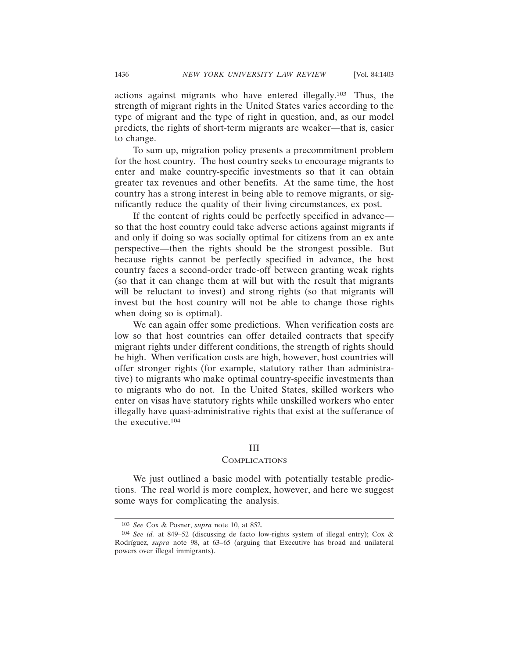actions against migrants who have entered illegally.103 Thus, the strength of migrant rights in the United States varies according to the type of migrant and the type of right in question, and, as our model predicts, the rights of short-term migrants are weaker—that is, easier to change.

To sum up, migration policy presents a precommitment problem for the host country. The host country seeks to encourage migrants to enter and make country-specific investments so that it can obtain greater tax revenues and other benefits. At the same time, the host country has a strong interest in being able to remove migrants, or significantly reduce the quality of their living circumstances, ex post.

If the content of rights could be perfectly specified in advance so that the host country could take adverse actions against migrants if and only if doing so was socially optimal for citizens from an ex ante perspective—then the rights should be the strongest possible. But because rights cannot be perfectly specified in advance, the host country faces a second-order trade-off between granting weak rights (so that it can change them at will but with the result that migrants will be reluctant to invest) and strong rights (so that migrants will invest but the host country will not be able to change those rights when doing so is optimal).

We can again offer some predictions. When verification costs are low so that host countries can offer detailed contracts that specify migrant rights under different conditions, the strength of rights should be high. When verification costs are high, however, host countries will offer stronger rights (for example, statutory rather than administrative) to migrants who make optimal country-specific investments than to migrants who do not. In the United States, skilled workers who enter on visas have statutory rights while unskilled workers who enter illegally have quasi-administrative rights that exist at the sufferance of the executive.104

#### III

#### **COMPLICATIONS**

We just outlined a basic model with potentially testable predictions. The real world is more complex, however, and here we suggest some ways for complicating the analysis.

<sup>103</sup> *See* Cox & Posner, *supra* note 10, at 852.

<sup>104</sup> *See id.* at 849–52 (discussing de facto low-rights system of illegal entry); Cox & Rodríguez, *supra* note 98, at 63-65 (arguing that Executive has broad and unilateral powers over illegal immigrants).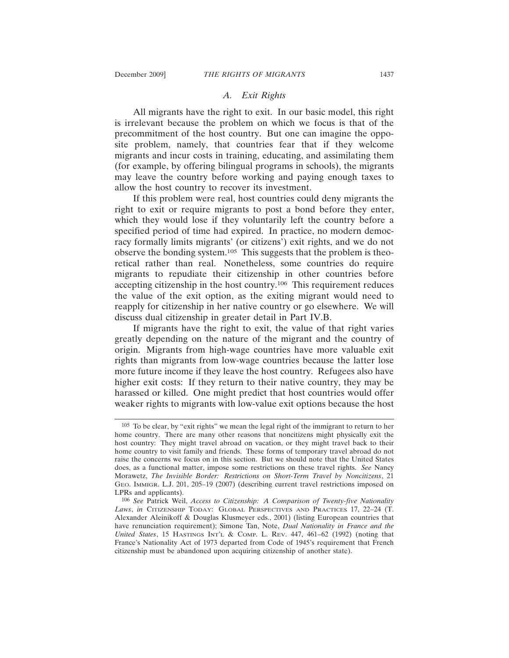# *A. Exit Rights*

All migrants have the right to exit. In our basic model, this right is irrelevant because the problem on which we focus is that of the precommitment of the host country. But one can imagine the opposite problem, namely, that countries fear that if they welcome migrants and incur costs in training, educating, and assimilating them (for example, by offering bilingual programs in schools), the migrants may leave the country before working and paying enough taxes to allow the host country to recover its investment.

If this problem were real, host countries could deny migrants the right to exit or require migrants to post a bond before they enter, which they would lose if they voluntarily left the country before a specified period of time had expired. In practice, no modern democracy formally limits migrants' (or citizens') exit rights, and we do not observe the bonding system.105 This suggests that the problem is theoretical rather than real. Nonetheless, some countries do require migrants to repudiate their citizenship in other countries before accepting citizenship in the host country.106 This requirement reduces the value of the exit option, as the exiting migrant would need to reapply for citizenship in her native country or go elsewhere. We will discuss dual citizenship in greater detail in Part IV.B.

If migrants have the right to exit, the value of that right varies greatly depending on the nature of the migrant and the country of origin. Migrants from high-wage countries have more valuable exit rights than migrants from low-wage countries because the latter lose more future income if they leave the host country. Refugees also have higher exit costs: If they return to their native country, they may be harassed or killed. One might predict that host countries would offer weaker rights to migrants with low-value exit options because the host

<sup>105</sup> To be clear, by "exit rights" we mean the legal right of the immigrant to return to her home country. There are many other reasons that noncitizens might physically exit the host country: They might travel abroad on vacation, or they might travel back to their home country to visit family and friends. These forms of temporary travel abroad do not raise the concerns we focus on in this section. But we should note that the United States does, as a functional matter, impose some restrictions on these travel rights. *See* Nancy Morawetz, *The Invisible Border: Restrictions on Short-Term Travel by Noncitizens*, 21 GEO. IMMIGR. L.J. 201, 205–19 (2007) (describing current travel restrictions imposed on LPRs and applicants).

<sup>106</sup> *See* Patrick Weil, *Access to Citizenship: A Comparison of Twenty-five Nationality Laws*, *in* CITIZENSHIP TODAY: GLOBAL PERSPECTIVES AND PRACTICES 17, 22–24 (T. Alexander Aleinikoff & Douglas Klusmeyer eds., 2001) (listing European countries that have renunciation requirement); Simone Tan, Note, *Dual Nationality in France and the United States*, 15 HASTINGS INT'L & COMP. L. REV. 447, 461–62 (1992) (noting that France's Nationality Act of 1973 departed from Code of 1945's requirement that French citizenship must be abandoned upon acquiring citizenship of another state).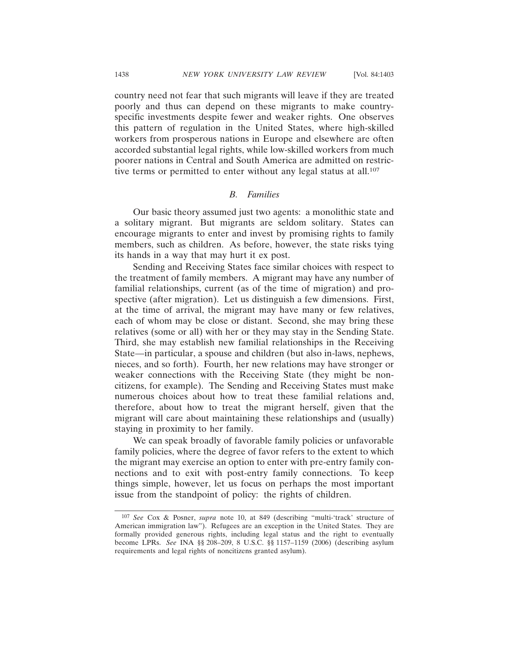country need not fear that such migrants will leave if they are treated poorly and thus can depend on these migrants to make countryspecific investments despite fewer and weaker rights. One observes this pattern of regulation in the United States, where high-skilled workers from prosperous nations in Europe and elsewhere are often accorded substantial legal rights, while low-skilled workers from much poorer nations in Central and South America are admitted on restrictive terms or permitted to enter without any legal status at all.<sup>107</sup>

#### *B. Families*

Our basic theory assumed just two agents: a monolithic state and a solitary migrant. But migrants are seldom solitary. States can encourage migrants to enter and invest by promising rights to family members, such as children. As before, however, the state risks tying its hands in a way that may hurt it ex post.

Sending and Receiving States face similar choices with respect to the treatment of family members. A migrant may have any number of familial relationships, current (as of the time of migration) and prospective (after migration). Let us distinguish a few dimensions. First, at the time of arrival, the migrant may have many or few relatives, each of whom may be close or distant. Second, she may bring these relatives (some or all) with her or they may stay in the Sending State. Third, she may establish new familial relationships in the Receiving State—in particular, a spouse and children (but also in-laws, nephews, nieces, and so forth). Fourth, her new relations may have stronger or weaker connections with the Receiving State (they might be noncitizens, for example). The Sending and Receiving States must make numerous choices about how to treat these familial relations and, therefore, about how to treat the migrant herself, given that the migrant will care about maintaining these relationships and (usually) staying in proximity to her family.

We can speak broadly of favorable family policies or unfavorable family policies, where the degree of favor refers to the extent to which the migrant may exercise an option to enter with pre-entry family connections and to exit with post-entry family connections. To keep things simple, however, let us focus on perhaps the most important issue from the standpoint of policy: the rights of children.

<sup>107</sup> *See* Cox & Posner, *supra* note 10, at 849 (describing "multi-'track' structure of American immigration law"). Refugees are an exception in the United States. They are formally provided generous rights, including legal status and the right to eventually become LPRs. *See* INA §§ 208–209, 8 U.S.C. §§ 1157–1159 (2006) (describing asylum requirements and legal rights of noncitizens granted asylum).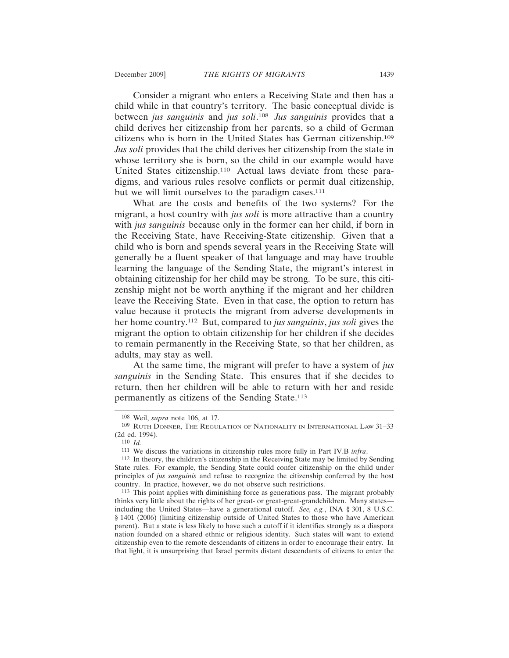Consider a migrant who enters a Receiving State and then has a child while in that country's territory. The basic conceptual divide is between *jus sanguinis* and *jus soli*. <sup>108</sup> *Jus sanguinis* provides that a child derives her citizenship from her parents, so a child of German citizens who is born in the United States has German citizenship.109 *Jus soli* provides that the child derives her citizenship from the state in whose territory she is born, so the child in our example would have United States citizenship.110 Actual laws deviate from these paradigms, and various rules resolve conflicts or permit dual citizenship, but we will limit ourselves to the paradigm cases.<sup>111</sup>

What are the costs and benefits of the two systems? For the migrant, a host country with *jus soli* is more attractive than a country with *jus sanguinis* because only in the former can her child, if born in the Receiving State, have Receiving-State citizenship. Given that a child who is born and spends several years in the Receiving State will generally be a fluent speaker of that language and may have trouble learning the language of the Sending State, the migrant's interest in obtaining citizenship for her child may be strong. To be sure, this citizenship might not be worth anything if the migrant and her children leave the Receiving State. Even in that case, the option to return has value because it protects the migrant from adverse developments in her home country.112 But, compared to *jus sanguinis*, *jus soli* gives the migrant the option to obtain citizenship for her children if she decides to remain permanently in the Receiving State, so that her children, as adults, may stay as well.

At the same time, the migrant will prefer to have a system of *jus sanguinis* in the Sending State. This ensures that if she decides to return, then her children will be able to return with her and reside permanently as citizens of the Sending State.113

<sup>108</sup> Weil, *supra* note 106, at 17.

<sup>109</sup> RUTH DONNER, THE REGULATION OF NATIONALITY IN INTERNATIONAL LAW 31–33 (2d ed. 1994).

<sup>110</sup> *Id.*

<sup>111</sup> We discuss the variations in citizenship rules more fully in Part IV.B *infra*.

<sup>112</sup> In theory, the children's citizenship in the Receiving State may be limited by Sending State rules. For example, the Sending State could confer citizenship on the child under principles of *jus sanguinis* and refuse to recognize the citizenship conferred by the host country. In practice, however, we do not observe such restrictions.

<sup>113</sup> This point applies with diminishing force as generations pass. The migrant probably thinks very little about the rights of her great- or great-great-grandchildren. Many states including the United States—have a generational cutoff. *See, e.g.*, INA § 301, 8 U.S.C. § 1401 (2006) (limiting citizenship outside of United States to those who have American parent). But a state is less likely to have such a cutoff if it identifies strongly as a diaspora nation founded on a shared ethnic or religious identity. Such states will want to extend citizenship even to the remote descendants of citizens in order to encourage their entry. In that light, it is unsurprising that Israel permits distant descendants of citizens to enter the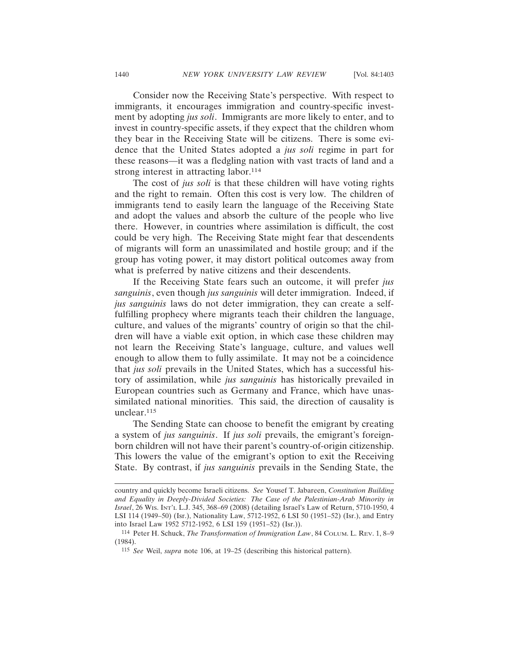Consider now the Receiving State's perspective. With respect to immigrants, it encourages immigration and country-specific investment by adopting *jus soli*. Immigrants are more likely to enter, and to invest in country-specific assets, if they expect that the children whom they bear in the Receiving State will be citizens. There is some evidence that the United States adopted a *jus soli* regime in part for these reasons—it was a fledgling nation with vast tracts of land and a strong interest in attracting labor.<sup>114</sup>

The cost of *jus soli* is that these children will have voting rights and the right to remain. Often this cost is very low. The children of immigrants tend to easily learn the language of the Receiving State and adopt the values and absorb the culture of the people who live there. However, in countries where assimilation is difficult, the cost could be very high. The Receiving State might fear that descendents of migrants will form an unassimilated and hostile group; and if the group has voting power, it may distort political outcomes away from what is preferred by native citizens and their descendents.

If the Receiving State fears such an outcome, it will prefer *jus sanguinis*, even though *jus sanguinis* will deter immigration. Indeed, if *jus sanguinis* laws do not deter immigration, they can create a selffulfilling prophecy where migrants teach their children the language, culture, and values of the migrants' country of origin so that the children will have a viable exit option, in which case these children may not learn the Receiving State's language, culture, and values well enough to allow them to fully assimilate. It may not be a coincidence that *jus soli* prevails in the United States, which has a successful history of assimilation, while *jus sanguinis* has historically prevailed in European countries such as Germany and France, which have unassimilated national minorities. This said, the direction of causality is unclear.115

The Sending State can choose to benefit the emigrant by creating a system of *jus sanguinis*. If *jus soli* prevails, the emigrant's foreignborn children will not have their parent's country-of-origin citizenship. This lowers the value of the emigrant's option to exit the Receiving State. By contrast, if *jus sanguinis* prevails in the Sending State, the

country and quickly become Israeli citizens. *See* Yousef T. Jabareen, *Constitution Building and Equality in Deeply-Divided Societies: The Case of the Palestinian-Arab Minority in Israel*, 26 WIS. INT'L L.J. 345, 368–69 (2008) (detailing Israel's Law of Return, 5710-1950, 4 LSI 114 (1949–50) (Isr.), Nationality Law, 5712-1952, 6 LSI 50 (1951–52) (Isr.), and Entry into Israel Law 1952 5712-1952, 6 LSI 159 (1951–52) (Isr.)).

<sup>114</sup> Peter H. Schuck, *The Transformation of Immigration Law*, 84 COLUM. L. REV. 1, 8–9 (1984).

<sup>115</sup> *See* Weil, *supra* note 106, at 19–25 (describing this historical pattern).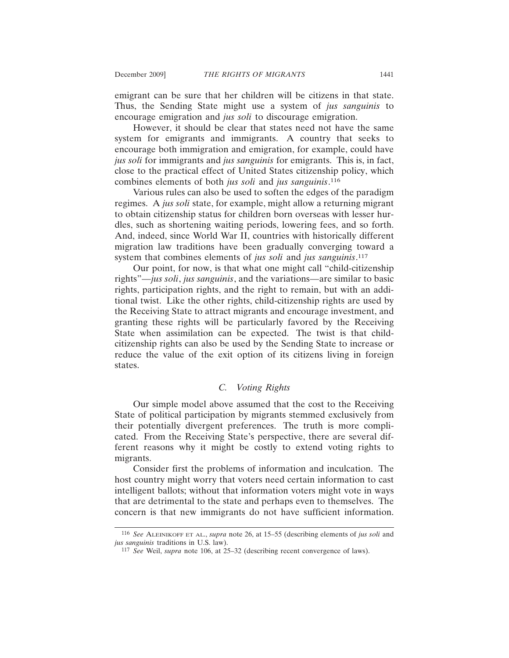emigrant can be sure that her children will be citizens in that state. Thus, the Sending State might use a system of *jus sanguinis* to encourage emigration and *jus soli* to discourage emigration.

However, it should be clear that states need not have the same system for emigrants and immigrants. A country that seeks to encourage both immigration and emigration, for example, could have *jus soli* for immigrants and *jus sanguinis* for emigrants. This is, in fact, close to the practical effect of United States citizenship policy, which combines elements of both *jus soli* and *jus sanguinis*. 116

Various rules can also be used to soften the edges of the paradigm regimes. A *jus soli* state, for example, might allow a returning migrant to obtain citizenship status for children born overseas with lesser hurdles, such as shortening waiting periods, lowering fees, and so forth. And, indeed, since World War II, countries with historically different migration law traditions have been gradually converging toward a system that combines elements of *jus soli* and *jus sanguinis*. 117

Our point, for now, is that what one might call "child-citizenship rights"—*jus soli*, *jus sanguinis*, and the variations—are similar to basic rights, participation rights, and the right to remain, but with an additional twist. Like the other rights, child-citizenship rights are used by the Receiving State to attract migrants and encourage investment, and granting these rights will be particularly favored by the Receiving State when assimilation can be expected. The twist is that childcitizenship rights can also be used by the Sending State to increase or reduce the value of the exit option of its citizens living in foreign states.

# *C. Voting Rights*

Our simple model above assumed that the cost to the Receiving State of political participation by migrants stemmed exclusively from their potentially divergent preferences. The truth is more complicated. From the Receiving State's perspective, there are several different reasons why it might be costly to extend voting rights to migrants.

Consider first the problems of information and inculcation. The host country might worry that voters need certain information to cast intelligent ballots; without that information voters might vote in ways that are detrimental to the state and perhaps even to themselves. The concern is that new immigrants do not have sufficient information.

<sup>116</sup> *See* ALEINIKOFF ET AL., *supra* note 26, at 15–55 (describing elements of *jus soli* and *jus sanguinis* traditions in U.S. law).

<sup>117</sup> *See* Weil, *supra* note 106, at 25–32 (describing recent convergence of laws).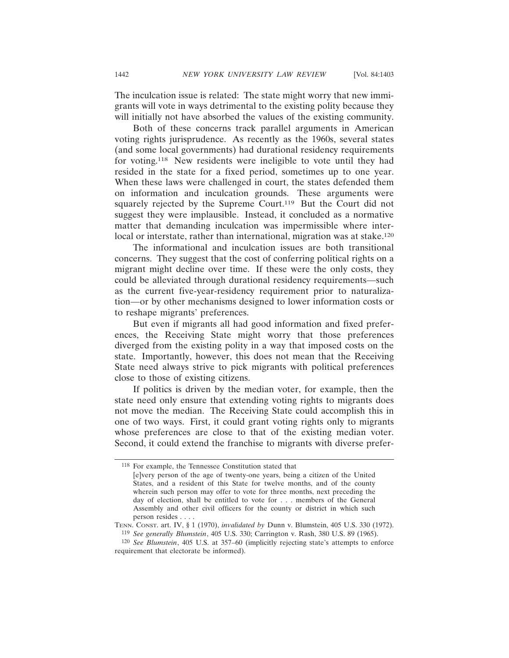The inculcation issue is related: The state might worry that new immigrants will vote in ways detrimental to the existing polity because they will initially not have absorbed the values of the existing community.

Both of these concerns track parallel arguments in American voting rights jurisprudence. As recently as the 1960s, several states (and some local governments) had durational residency requirements for voting.118 New residents were ineligible to vote until they had resided in the state for a fixed period, sometimes up to one year. When these laws were challenged in court, the states defended them on information and inculcation grounds. These arguments were squarely rejected by the Supreme Court.<sup>119</sup> But the Court did not suggest they were implausible. Instead, it concluded as a normative matter that demanding inculcation was impermissible where interlocal or interstate, rather than international, migration was at stake.<sup>120</sup>

The informational and inculcation issues are both transitional concerns. They suggest that the cost of conferring political rights on a migrant might decline over time. If these were the only costs, they could be alleviated through durational residency requirements—such as the current five-year-residency requirement prior to naturalization—or by other mechanisms designed to lower information costs or to reshape migrants' preferences.

But even if migrants all had good information and fixed preferences, the Receiving State might worry that those preferences diverged from the existing polity in a way that imposed costs on the state. Importantly, however, this does not mean that the Receiving State need always strive to pick migrants with political preferences close to those of existing citizens.

If politics is driven by the median voter, for example, then the state need only ensure that extending voting rights to migrants does not move the median. The Receiving State could accomplish this in one of two ways. First, it could grant voting rights only to migrants whose preferences are close to that of the existing median voter. Second, it could extend the franchise to migrants with diverse prefer-

<sup>118</sup> For example, the Tennessee Constitution stated that

<sup>[</sup>e]very person of the age of twenty-one years, being a citizen of the United States, and a resident of this State for twelve months, and of the county wherein such person may offer to vote for three months, next preceding the day of election, shall be entitled to vote for . . . members of the General Assembly and other civil officers for the county or district in which such person resides . . . .

TENN. CONST. art. IV, § 1 (1970), *invalidated by* Dunn v. Blumstein, 405 U.S. 330 (1972). 119 *See generally Blumstein*, 405 U.S. 330; Carrington v. Rash, 380 U.S. 89 (1965).

<sup>120</sup> *See Blumstein*, 405 U.S. at 357–60 (implicitly rejecting state's attempts to enforce requirement that electorate be informed).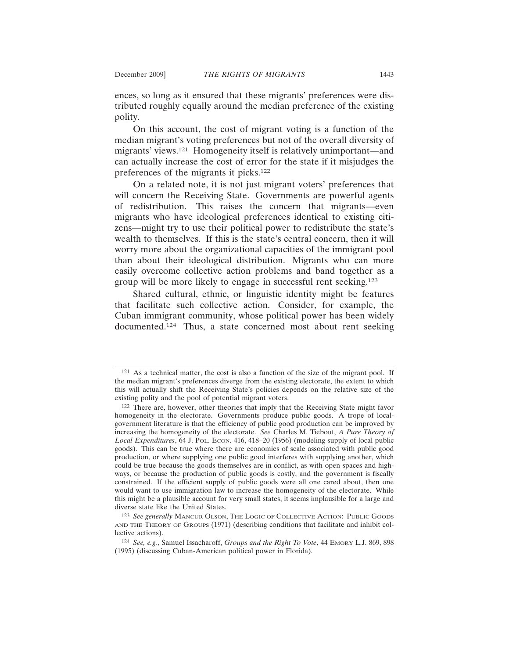ences, so long as it ensured that these migrants' preferences were distributed roughly equally around the median preference of the existing polity.

On this account, the cost of migrant voting is a function of the median migrant's voting preferences but not of the overall diversity of migrants' views.121 Homogeneity itself is relatively unimportant—and can actually increase the cost of error for the state if it misjudges the preferences of the migrants it picks.122

On a related note, it is not just migrant voters' preferences that will concern the Receiving State. Governments are powerful agents of redistribution. This raises the concern that migrants—even migrants who have ideological preferences identical to existing citizens—might try to use their political power to redistribute the state's wealth to themselves. If this is the state's central concern, then it will worry more about the organizational capacities of the immigrant pool than about their ideological distribution. Migrants who can more easily overcome collective action problems and band together as a group will be more likely to engage in successful rent seeking.123

Shared cultural, ethnic, or linguistic identity might be features that facilitate such collective action. Consider, for example, the Cuban immigrant community, whose political power has been widely documented.124 Thus, a state concerned most about rent seeking

<sup>121</sup> As a technical matter, the cost is also a function of the size of the migrant pool. If the median migrant's preferences diverge from the existing electorate, the extent to which this will actually shift the Receiving State's policies depends on the relative size of the existing polity and the pool of potential migrant voters.

<sup>122</sup> There are, however, other theories that imply that the Receiving State might favor homogeneity in the electorate. Governments produce public goods. A trope of localgovernment literature is that the efficiency of public good production can be improved by increasing the homogeneity of the electorate. *See* Charles M. Tiebout, *A Pure Theory of Local Expenditures*, 64 J. POL. ECON. 416, 418–20 (1956) (modeling supply of local public goods). This can be true where there are economies of scale associated with public good production, or where supplying one public good interferes with supplying another, which could be true because the goods themselves are in conflict, as with open spaces and highways, or because the production of public goods is costly, and the government is fiscally constrained. If the efficient supply of public goods were all one cared about, then one would want to use immigration law to increase the homogeneity of the electorate. While this might be a plausible account for very small states, it seems implausible for a large and diverse state like the United States.

<sup>123</sup> *See generally* MANCUR OLSON, THE LOGIC OF COLLECTIVE ACTION: PUBLIC GOODS AND THE THEORY OF GROUPS (1971) (describing conditions that facilitate and inhibit collective actions).

<sup>124</sup> *See, e.g.*, Samuel Issacharoff, *Groups and the Right To Vote*, 44 EMORY L.J. 869, 898 (1995) (discussing Cuban-American political power in Florida).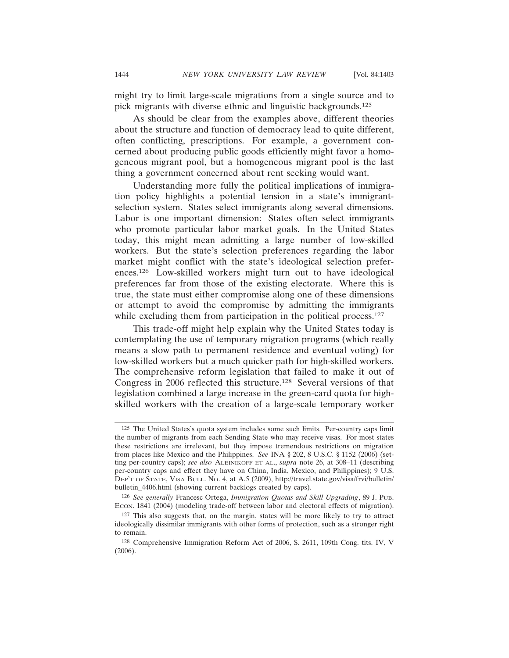might try to limit large-scale migrations from a single source and to pick migrants with diverse ethnic and linguistic backgrounds.125

As should be clear from the examples above, different theories about the structure and function of democracy lead to quite different, often conflicting, prescriptions. For example, a government concerned about producing public goods efficiently might favor a homogeneous migrant pool, but a homogeneous migrant pool is the last thing a government concerned about rent seeking would want.

Understanding more fully the political implications of immigration policy highlights a potential tension in a state's immigrantselection system. States select immigrants along several dimensions. Labor is one important dimension: States often select immigrants who promote particular labor market goals. In the United States today, this might mean admitting a large number of low-skilled workers. But the state's selection preferences regarding the labor market might conflict with the state's ideological selection preferences.126 Low-skilled workers might turn out to have ideological preferences far from those of the existing electorate. Where this is true, the state must either compromise along one of these dimensions or attempt to avoid the compromise by admitting the immigrants while excluding them from participation in the political process.<sup>127</sup>

This trade-off might help explain why the United States today is contemplating the use of temporary migration programs (which really means a slow path to permanent residence and eventual voting) for low-skilled workers but a much quicker path for high-skilled workers. The comprehensive reform legislation that failed to make it out of Congress in 2006 reflected this structure.128 Several versions of that legislation combined a large increase in the green-card quota for highskilled workers with the creation of a large-scale temporary worker

<sup>125</sup> The United States's quota system includes some such limits. Per-country caps limit the number of migrants from each Sending State who may receive visas. For most states these restrictions are irrelevant, but they impose tremendous restrictions on migration from places like Mexico and the Philippines. *See* INA § 202, 8 U.S.C. § 1152 (2006) (setting per-country caps); *see also* ALEINIKOFF ET AL., *supra* note 26, at 308–11 (describing per-country caps and effect they have on China, India, Mexico, and Philippines); 9 U.S. DEP'T OF STATE, VISA BULL. NO. 4, at A.5 (2009), http://travel.state.gov/visa/frvi/bulletin/ bulletin\_4406.html (showing current backlogs created by caps).

<sup>126</sup> *See generally* Francesc Ortega, *Immigration Quotas and Skill Upgrading*, 89 J. PUB. Econ. 1841 (2004) (modeling trade-off between labor and electoral effects of migration).

<sup>127</sup> This also suggests that, on the margin, states will be more likely to try to attract ideologically dissimilar immigrants with other forms of protection, such as a stronger right to remain.

<sup>128</sup> Comprehensive Immigration Reform Act of 2006, S. 2611, 109th Cong. tits. IV, V (2006).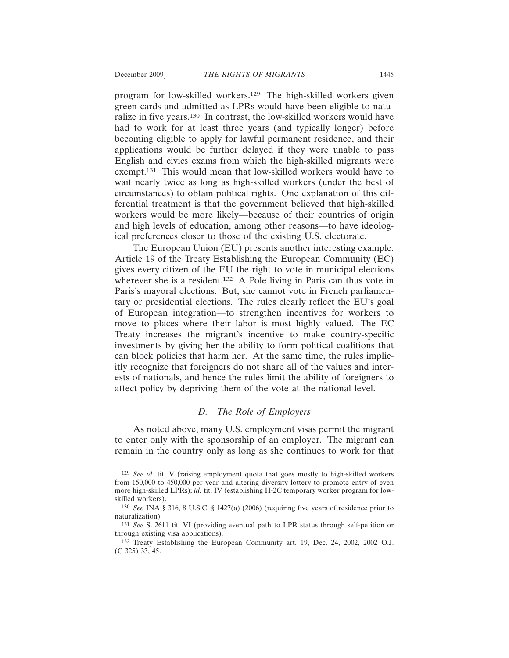program for low-skilled workers.129 The high-skilled workers given green cards and admitted as LPRs would have been eligible to naturalize in five years.130 In contrast, the low-skilled workers would have had to work for at least three years (and typically longer) before becoming eligible to apply for lawful permanent residence, and their applications would be further delayed if they were unable to pass English and civics exams from which the high-skilled migrants were exempt.131 This would mean that low-skilled workers would have to wait nearly twice as long as high-skilled workers (under the best of circumstances) to obtain political rights. One explanation of this differential treatment is that the government believed that high-skilled workers would be more likely—because of their countries of origin and high levels of education, among other reasons—to have ideological preferences closer to those of the existing U.S. electorate.

The European Union (EU) presents another interesting example. Article 19 of the Treaty Establishing the European Community (EC) gives every citizen of the EU the right to vote in municipal elections wherever she is a resident.<sup>132</sup> A Pole living in Paris can thus vote in Paris's mayoral elections. But, she cannot vote in French parliamentary or presidential elections. The rules clearly reflect the EU's goal of European integration—to strengthen incentives for workers to move to places where their labor is most highly valued. The EC Treaty increases the migrant's incentive to make country-specific investments by giving her the ability to form political coalitions that can block policies that harm her. At the same time, the rules implicitly recognize that foreigners do not share all of the values and interests of nationals, and hence the rules limit the ability of foreigners to affect policy by depriving them of the vote at the national level.

### *D. The Role of Employers*

As noted above, many U.S. employment visas permit the migrant to enter only with the sponsorship of an employer. The migrant can remain in the country only as long as she continues to work for that

<sup>129</sup> *See id.* tit. V (raising employment quota that goes mostly to high-skilled workers from 150,000 to 450,000 per year and altering diversity lottery to promote entry of even more high-skilled LPRs); *id.* tit. IV (establishing H-2C temporary worker program for lowskilled workers).

<sup>130</sup> *See* INA § 316, 8 U.S.C. § 1427(a) (2006) (requiring five years of residence prior to naturalization).

<sup>131</sup> *See* S. 2611 tit. VI (providing eventual path to LPR status through self-petition or through existing visa applications).

<sup>132</sup> Treaty Establishing the European Community art. 19, Dec. 24, 2002, 2002 O.J. (C 325) 33, 45.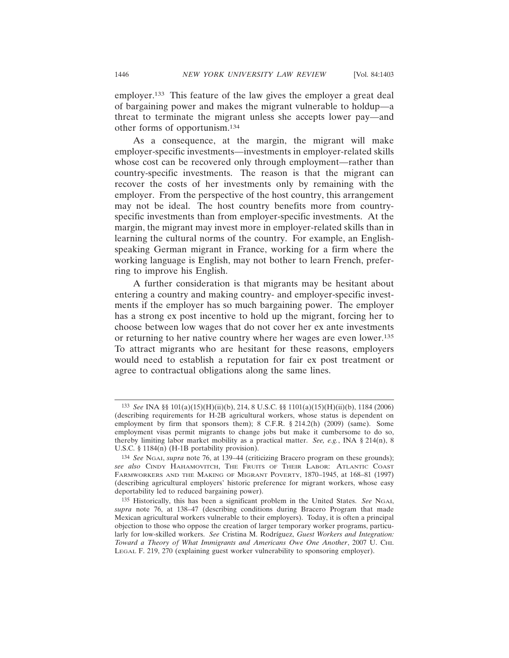employer.133 This feature of the law gives the employer a great deal of bargaining power and makes the migrant vulnerable to holdup—a threat to terminate the migrant unless she accepts lower pay—and other forms of opportunism.134

As a consequence, at the margin, the migrant will make employer-specific investments—investments in employer-related skills whose cost can be recovered only through employment—rather than country-specific investments. The reason is that the migrant can recover the costs of her investments only by remaining with the employer. From the perspective of the host country, this arrangement may not be ideal. The host country benefits more from countryspecific investments than from employer-specific investments. At the margin, the migrant may invest more in employer-related skills than in learning the cultural norms of the country. For example, an Englishspeaking German migrant in France, working for a firm where the working language is English, may not bother to learn French, preferring to improve his English.

A further consideration is that migrants may be hesitant about entering a country and making country- and employer-specific investments if the employer has so much bargaining power. The employer has a strong ex post incentive to hold up the migrant, forcing her to choose between low wages that do not cover her ex ante investments or returning to her native country where her wages are even lower.135 To attract migrants who are hesitant for these reasons, employers would need to establish a reputation for fair ex post treatment or agree to contractual obligations along the same lines.

<sup>133</sup> *See* INA §§ 101(a)(15)(H)(ii)(b), 214, 8 U.S.C. §§ 1101(a)(15)(H)(ii)(b), 1184 (2006) (describing requirements for H-2B agricultural workers, whose status is dependent on employment by firm that sponsors them); 8 C.F.R. § 214.2(h) (2009) (same). Some employment visas permit migrants to change jobs but make it cumbersome to do so, thereby limiting labor market mobility as a practical matter. *See, e.g.*, INA § 214(n), 8 U.S.C. § 1184(n) (H-1B portability provision).

<sup>134</sup> *See* NGAI, *supra* note 76, at 139–44 (criticizing Bracero program on these grounds); *see also* CINDY HAHAMOVITCH, THE FRUITS OF THEIR LABOR: ATLANTIC COAST FARMWORKERS AND THE MAKING OF MIGRANT POVERTY, 1870–1945, at 168–81 (1997) (describing agricultural employers' historic preference for migrant workers, whose easy deportability led to reduced bargaining power).

<sup>135</sup> Historically, this has been a significant problem in the United States. *See* NGAI, *supra* note 76, at 138–47 (describing conditions during Bracero Program that made Mexican agricultural workers vulnerable to their employers). Today, it is often a principal objection to those who oppose the creation of larger temporary worker programs, particularly for low-skilled workers. *See* Cristina M. Rodríguez, *Guest Workers and Integration: Toward a Theory of What Immigrants and Americans Owe One Another*, 2007 U. CHI. LEGAL F. 219, 270 (explaining guest worker vulnerability to sponsoring employer).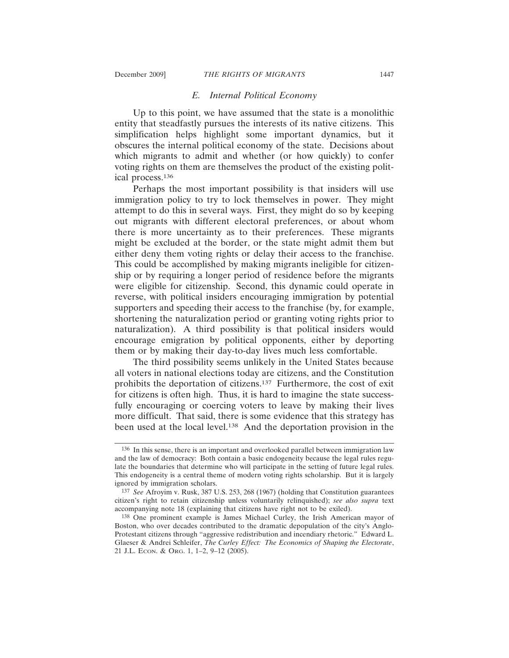## *E. Internal Political Economy*

Up to this point, we have assumed that the state is a monolithic entity that steadfastly pursues the interests of its native citizens. This simplification helps highlight some important dynamics, but it obscures the internal political economy of the state. Decisions about which migrants to admit and whether (or how quickly) to confer voting rights on them are themselves the product of the existing political process.136

Perhaps the most important possibility is that insiders will use immigration policy to try to lock themselves in power. They might attempt to do this in several ways. First, they might do so by keeping out migrants with different electoral preferences, or about whom there is more uncertainty as to their preferences. These migrants might be excluded at the border, or the state might admit them but either deny them voting rights or delay their access to the franchise. This could be accomplished by making migrants ineligible for citizenship or by requiring a longer period of residence before the migrants were eligible for citizenship. Second, this dynamic could operate in reverse, with political insiders encouraging immigration by potential supporters and speeding their access to the franchise (by, for example, shortening the naturalization period or granting voting rights prior to naturalization). A third possibility is that political insiders would encourage emigration by political opponents, either by deporting them or by making their day-to-day lives much less comfortable.

The third possibility seems unlikely in the United States because all voters in national elections today are citizens, and the Constitution prohibits the deportation of citizens.137 Furthermore, the cost of exit for citizens is often high. Thus, it is hard to imagine the state successfully encouraging or coercing voters to leave by making their lives more difficult. That said, there is some evidence that this strategy has been used at the local level.138 And the deportation provision in the

<sup>136</sup> In this sense, there is an important and overlooked parallel between immigration law and the law of democracy: Both contain a basic endogeneity because the legal rules regulate the boundaries that determine who will participate in the setting of future legal rules. This endogeneity is a central theme of modern voting rights scholarship. But it is largely ignored by immigration scholars.

<sup>137</sup> *See* Afroyim v. Rusk, 387 U.S. 253, 268 (1967) (holding that Constitution guarantees citizen's right to retain citizenship unless voluntarily relinquished); *see also supra* text accompanying note 18 (explaining that citizens have right not to be exiled).

<sup>138</sup> One prominent example is James Michael Curley, the Irish American mayor of Boston, who over decades contributed to the dramatic depopulation of the city's Anglo-Protestant citizens through "aggressive redistribution and incendiary rhetoric." Edward L. Glaeser & Andrei Schleifer, *The Curley Effect: The Economics of Shaping the Electorate*, 21 J.L. ECON. & ORG. 1, 1–2, 9–12 (2005).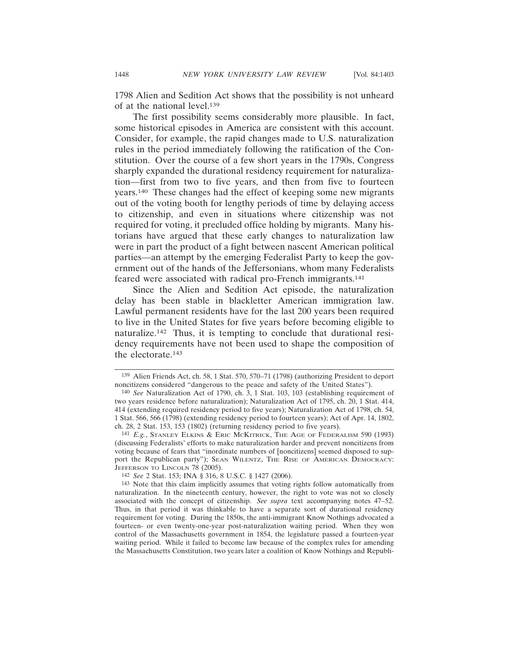1798 Alien and Sedition Act shows that the possibility is not unheard of at the national level.139

The first possibility seems considerably more plausible. In fact, some historical episodes in America are consistent with this account. Consider, for example, the rapid changes made to U.S. naturalization rules in the period immediately following the ratification of the Constitution. Over the course of a few short years in the 1790s, Congress sharply expanded the durational residency requirement for naturalization—first from two to five years, and then from five to fourteen years.140 These changes had the effect of keeping some new migrants out of the voting booth for lengthy periods of time by delaying access to citizenship, and even in situations where citizenship was not required for voting, it precluded office holding by migrants. Many historians have argued that these early changes to naturalization law were in part the product of a fight between nascent American political parties—an attempt by the emerging Federalist Party to keep the government out of the hands of the Jeffersonians, whom many Federalists feared were associated with radical pro-French immigrants.141

Since the Alien and Sedition Act episode, the naturalization delay has been stable in blackletter American immigration law. Lawful permanent residents have for the last 200 years been required to live in the United States for five years before becoming eligible to naturalize.142 Thus, it is tempting to conclude that durational residency requirements have not been used to shape the composition of the electorate.143

<sup>139</sup> Alien Friends Act, ch. 58, 1 Stat. 570, 570–71 (1798) (authorizing President to deport noncitizens considered "dangerous to the peace and safety of the United States").

<sup>140</sup> *See* Naturalization Act of 1790, ch. 3, 1 Stat. 103, 103 (establishing requirement of two years residence before naturalization); Naturalization Act of 1795, ch. 20, 1 Stat. 414, 414 (extending required residency period to five years); Naturalization Act of 1798, ch. 54, 1 Stat. 566, 566 (1798) (extending residency period to fourteen years); Act of Apr. 14, 1802, ch. 28, 2 Stat. 153, 153 (1802) (returning residency period to five years).

<sup>141</sup> *E.g.*, STANLEY ELKINS & ERIC MCKITRICK, THE AGE OF FEDERALISM 590 (1993) (discussing Federalists' efforts to make naturalization harder and prevent noncitizens from voting because of fears that "inordinate numbers of [noncitizens] seemed disposed to support the Republican party"); SEAN WILENTZ, THE RISE OF AMERICAN DEMOCRACY: JEFFERSON TO LINCOLN 78 (2005).

<sup>142</sup> *See* 2 Stat. 153; INA § 316, 8 U.S.C. § 1427 (2006).

<sup>143</sup> Note that this claim implicitly assumes that voting rights follow automatically from naturalization. In the nineteenth century, however, the right to vote was not so closely associated with the concept of citizenship. *See supra* text accompanying notes 47–52. Thus, in that period it was thinkable to have a separate sort of durational residency requirement for voting. During the 1850s, the anti-immigrant Know Nothings advocated a fourteen- or even twenty-one-year post-naturalization waiting period. When they won control of the Massachusetts government in 1854, the legislature passed a fourteen-year waiting period. While it failed to become law because of the complex rules for amending the Massachusetts Constitution, two years later a coalition of Know Nothings and Republi-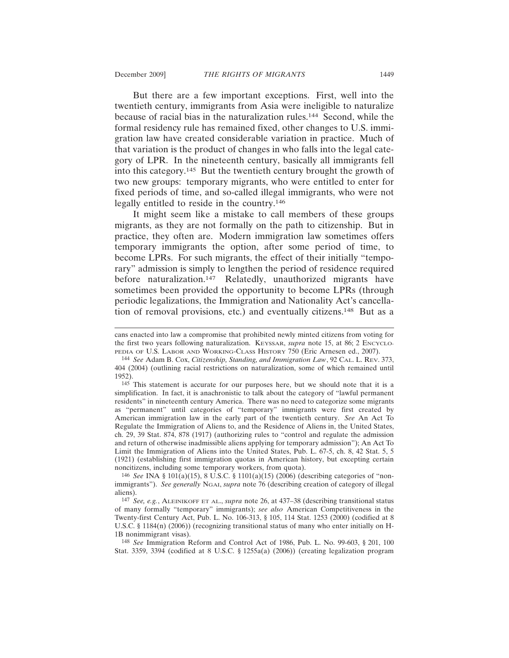But there are a few important exceptions. First, well into the twentieth century, immigrants from Asia were ineligible to naturalize because of racial bias in the naturalization rules.144 Second, while the formal residency rule has remained fixed, other changes to U.S. immigration law have created considerable variation in practice. Much of that variation is the product of changes in who falls into the legal category of LPR. In the nineteenth century, basically all immigrants fell into this category.145 But the twentieth century brought the growth of two new groups: temporary migrants, who were entitled to enter for fixed periods of time, and so-called illegal immigrants, who were not legally entitled to reside in the country.146

It might seem like a mistake to call members of these groups migrants, as they are not formally on the path to citizenship. But in practice, they often are. Modern immigration law sometimes offers temporary immigrants the option, after some period of time, to become LPRs. For such migrants, the effect of their initially "temporary" admission is simply to lengthen the period of residence required before naturalization.<sup>147</sup> Relatedly, unauthorized migrants have sometimes been provided the opportunity to become LPRs (through periodic legalizations, the Immigration and Nationality Act's cancellation of removal provisions, etc.) and eventually citizens.148 But as a

cans enacted into law a compromise that prohibited newly minted citizens from voting for the first two years following naturalization. KEYSSAR, *supra* note 15, at 86; 2 ENCYCLO-PEDIA OF U.S. LABOR AND WORKING-CLASS HISTORY 750 (Eric Arnesen ed., 2007).

<sup>144</sup> *See* Adam B. Cox, *Citizenship, Standing, and Immigration Law*, 92 CAL. L. REV. 373, 404 (2004) (outlining racial restrictions on naturalization, some of which remained until 1952).

<sup>145</sup> This statement is accurate for our purposes here, but we should note that it is a simplification. In fact, it is anachronistic to talk about the category of "lawful permanent residents" in nineteenth century America. There was no need to categorize some migrants as "permanent" until categories of "temporary" immigrants were first created by American immigration law in the early part of the twentieth century. *See* An Act To Regulate the Immigration of Aliens to, and the Residence of Aliens in, the United States, ch. 29, 39 Stat. 874, 878 (1917) (authorizing rules to "control and regulate the admission and return of otherwise inadmissible aliens applying for temporary admission"); An Act To Limit the Immigration of Aliens into the United States, Pub. L. 67-5, ch. 8, 42 Stat. 5, 5 (1921) (establishing first immigration quotas in American history, but excepting certain noncitizens, including some temporary workers, from quota).

<sup>146</sup> *See* INA § 101(a)(15), 8 U.S.C. § 1101(a)(15) (2006) (describing categories of "nonimmigrants"). *See generally* NGAI, *supra* note 76 (describing creation of category of illegal aliens).

<sup>147</sup> *See, e.g.*, ALEINIKOFF ET AL., *supra* note 26, at 437–38 (describing transitional status of many formally "temporary" immigrants); *see also* American Competitiveness in the Twenty-first Century Act, Pub. L. No. 106-313, § 105, 114 Stat. 1253 (2000) (codified at 8 U.S.C. § 1184(n) (2006)) (recognizing transitional status of many who enter initially on H-1B nonimmigrant visas).

<sup>148</sup> *See* Immigration Reform and Control Act of 1986, Pub. L. No. 99-603, § 201, 100 Stat. 3359, 3394 (codified at 8 U.S.C. § 1255a(a) (2006)) (creating legalization program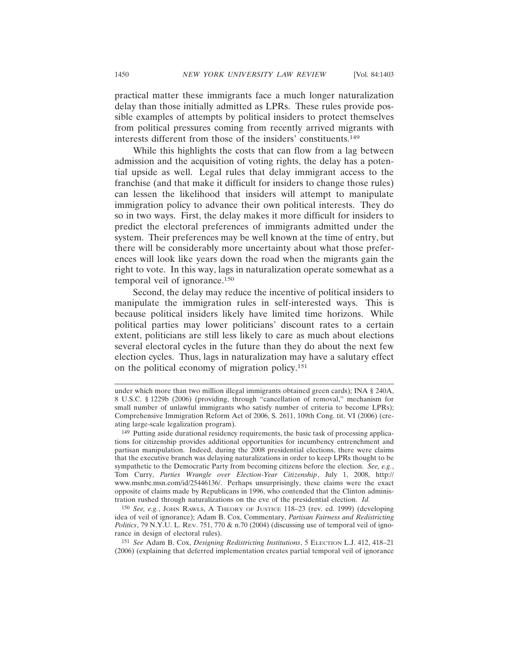practical matter these immigrants face a much longer naturalization delay than those initially admitted as LPRs. These rules provide possible examples of attempts by political insiders to protect themselves from political pressures coming from recently arrived migrants with interests different from those of the insiders' constituents.149

While this highlights the costs that can flow from a lag between admission and the acquisition of voting rights, the delay has a potential upside as well. Legal rules that delay immigrant access to the franchise (and that make it difficult for insiders to change those rules) can lessen the likelihood that insiders will attempt to manipulate immigration policy to advance their own political interests. They do so in two ways. First, the delay makes it more difficult for insiders to predict the electoral preferences of immigrants admitted under the system. Their preferences may be well known at the time of entry, but there will be considerably more uncertainty about what those preferences will look like years down the road when the migrants gain the right to vote. In this way, lags in naturalization operate somewhat as a temporal veil of ignorance.150

Second, the delay may reduce the incentive of political insiders to manipulate the immigration rules in self-interested ways. This is because political insiders likely have limited time horizons. While political parties may lower politicians' discount rates to a certain extent, politicians are still less likely to care as much about elections several electoral cycles in the future than they do about the next few election cycles. Thus, lags in naturalization may have a salutary effect on the political economy of migration policy.151

under which more than two million illegal immigrants obtained green cards); INA § 240A, 8 U.S.C. § 1229b (2006) (providing, through "cancellation of removal," mechanism for small number of unlawful immigrants who satisfy number of criteria to become LPRs); Comprehensive Immigration Reform Act of 2006, S. 2611, 109th Cong. tit. VI (2006) (creating large-scale legalization program).

<sup>149</sup> Putting aside durational residency requirements, the basic task of processing applications for citizenship provides additional opportunities for incumbency entrenchment and partisan manipulation. Indeed, during the 2008 presidential elections, there were claims that the executive branch was delaying naturalizations in order to keep LPRs thought to be sympathetic to the Democratic Party from becoming citizens before the election. *See, e.g.*, Tom Curry, *Parties Wrangle over Election-Year Citizenship*, July 1, 2008, http:// www.msnbc.msn.com/id/25446136/. Perhaps unsurprisingly, these claims were the exact opposite of claims made by Republicans in 1996, who contended that the Clinton administration rushed through naturalizations on the eve of the presidential election. *Id.*

<sup>150</sup> *See, e.g.*, JOHN RAWLS, A THEORY OF JUSTICE 118–23 (rev. ed. 1999) (developing idea of veil of ignorance); Adam B. Cox, Commentary, *Partisan Fairness and Redistricting Politics*, 79 N.Y.U. L. REV. 751, 770 & n.70 (2004) (discussing use of temporal veil of ignorance in design of electoral rules).

<sup>151</sup> *See* Adam B. Cox, *Designing Redistricting Institutions*, 5 ELECTION L.J. 412, 418–21 (2006) (explaining that deferred implementation creates partial temporal veil of ignorance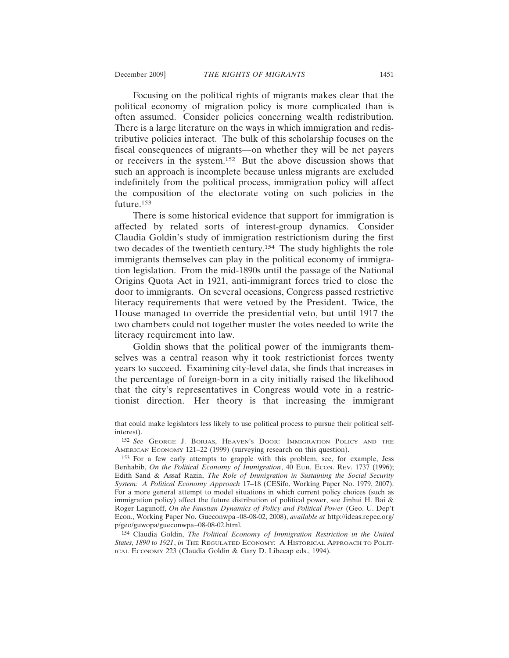Focusing on the political rights of migrants makes clear that the political economy of migration policy is more complicated than is often assumed. Consider policies concerning wealth redistribution. There is a large literature on the ways in which immigration and redistributive policies interact. The bulk of this scholarship focuses on the fiscal consequences of migrants—on whether they will be net payers or receivers in the system.152 But the above discussion shows that such an approach is incomplete because unless migrants are excluded indefinitely from the political process, immigration policy will affect the composition of the electorate voting on such policies in the future.153

There is some historical evidence that support for immigration is affected by related sorts of interest-group dynamics. Consider Claudia Goldin's study of immigration restrictionism during the first two decades of the twentieth century.154 The study highlights the role immigrants themselves can play in the political economy of immigration legislation. From the mid-1890s until the passage of the National Origins Quota Act in 1921, anti-immigrant forces tried to close the door to immigrants. On several occasions, Congress passed restrictive literacy requirements that were vetoed by the President. Twice, the House managed to override the presidential veto, but until 1917 the two chambers could not together muster the votes needed to write the literacy requirement into law.

Goldin shows that the political power of the immigrants themselves was a central reason why it took restrictionist forces twenty years to succeed. Examining city-level data, she finds that increases in the percentage of foreign-born in a city initially raised the likelihood that the city's representatives in Congress would vote in a restrictionist direction. Her theory is that increasing the immigrant

154 Claudia Goldin, *The Political Economy of Immigration Restriction in the United* States, 1890 to 1921, in THE REGULATED ECONOMY: A HISTORICAL APPROACH TO POLIT-ICAL ECONOMY 223 (Claudia Goldin & Gary D. Libecap eds., 1994).

that could make legislators less likely to use political process to pursue their political selfinterest).

<sup>152</sup> *See* GEORGE J. BORJAS, HEAVEN'S DOOR: IMMIGRATION POLICY AND THE AMERICAN ECONOMY 121–22 (1999) (surveying research on this question).

<sup>153</sup> For a few early attempts to grapple with this problem, see, for example, Jess Benhabib, *On the Political Economy of Immigration*, 40 EUR. ECON. REV. 1737 (1996); Edith Sand & Assaf Razin, *The Role of Immigration in Sustaining the Social Security System: A Political Economy Approach* 17–18 (CESifo, Working Paper No. 1979, 2007). For a more general attempt to model situations in which current policy choices (such as immigration policy) affect the future distribution of political power, see Jinhui H. Bai & Roger Lagunoff, *On the Faustian Dynamics of Policy and Political Power* (Geo. U. Dep't Econ., Working Paper No. Gueconwpa~08-08-02, 2008), *available at* http://ideas.repec.org/ p/geo/guwopa/gueconwpa~08-08-02.html.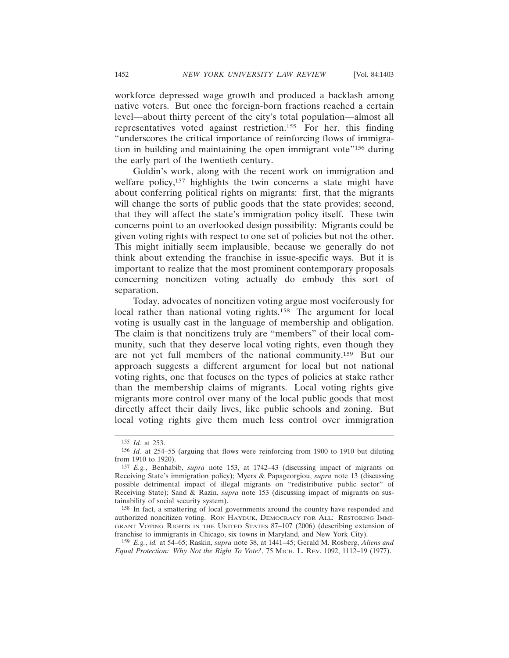workforce depressed wage growth and produced a backlash among native voters. But once the foreign-born fractions reached a certain level—about thirty percent of the city's total population—almost all representatives voted against restriction.155 For her, this finding "underscores the critical importance of reinforcing flows of immigration in building and maintaining the open immigrant vote"<sup>156</sup> during the early part of the twentieth century.

Goldin's work, along with the recent work on immigration and welfare policy,<sup>157</sup> highlights the twin concerns a state might have about conferring political rights on migrants: first, that the migrants will change the sorts of public goods that the state provides; second, that they will affect the state's immigration policy itself. These twin concerns point to an overlooked design possibility: Migrants could be given voting rights with respect to one set of policies but not the other. This might initially seem implausible, because we generally do not think about extending the franchise in issue-specific ways. But it is important to realize that the most prominent contemporary proposals concerning noncitizen voting actually do embody this sort of separation.

Today, advocates of noncitizen voting argue most vociferously for local rather than national voting rights.<sup>158</sup> The argument for local voting is usually cast in the language of membership and obligation. The claim is that noncitizens truly are "members" of their local community, such that they deserve local voting rights, even though they are not yet full members of the national community.159 But our approach suggests a different argument for local but not national voting rights, one that focuses on the types of policies at stake rather than the membership claims of migrants. Local voting rights give migrants more control over many of the local public goods that most directly affect their daily lives, like public schools and zoning. But local voting rights give them much less control over immigration

158 In fact, a smattering of local governments around the country have responded and authorized noncitizen voting. RON HAYDUK, DEMOCRACY FOR ALL: RESTORING IMMI-GRANT VOTING RIGHTS IN THE UNITED STATES 87–107 (2006) (describing extension of franchise to immigrants in Chicago, six towns in Maryland, and New York City).

159 *E.g.*, *id.* at 54–65; Raskin, *supra* note 38, at 1441–45; Gerald M. Rosberg, *Aliens and Equal Protection: Why Not the Right To Vote?*, 75 MICH. L. REV. 1092, 1112–19 (1977).

<sup>155</sup> *Id.* at 253.

<sup>156</sup> *Id.* at 254–55 (arguing that flows were reinforcing from 1900 to 1910 but diluting from 1910 to 1920).

<sup>157</sup> *E.g.*, Benhabib, *supra* note 153, at 1742–43 (discussing impact of migrants on Receiving State's immigration policy); Myers & Papageorgiou, *supra* note 13 (discussing possible detrimental impact of illegal migrants on "redistributive public sector" of Receiving State); Sand & Razin, *supra* note 153 (discussing impact of migrants on sustainability of social security system).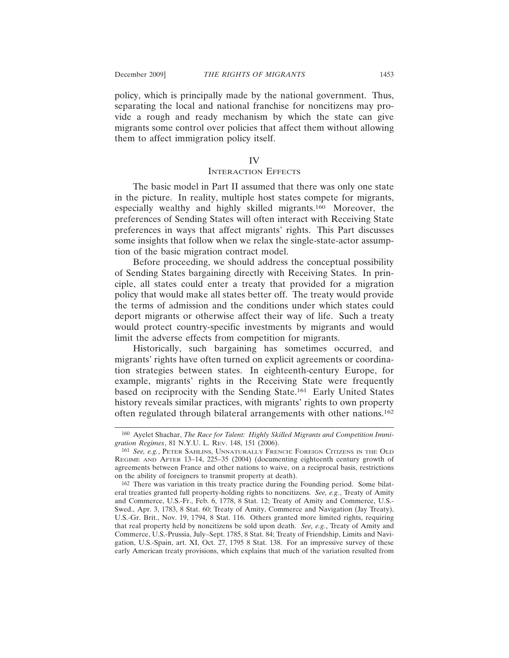policy, which is principally made by the national government. Thus, separating the local and national franchise for noncitizens may provide a rough and ready mechanism by which the state can give migrants some control over policies that affect them without allowing them to affect immigration policy itself.

# IV

### INTERACTION EFFECTS

The basic model in Part II assumed that there was only one state in the picture. In reality, multiple host states compete for migrants, especially wealthy and highly skilled migrants.160 Moreover, the preferences of Sending States will often interact with Receiving State preferences in ways that affect migrants' rights. This Part discusses some insights that follow when we relax the single-state-actor assumption of the basic migration contract model.

Before proceeding, we should address the conceptual possibility of Sending States bargaining directly with Receiving States. In principle, all states could enter a treaty that provided for a migration policy that would make all states better off. The treaty would provide the terms of admission and the conditions under which states could deport migrants or otherwise affect their way of life. Such a treaty would protect country-specific investments by migrants and would limit the adverse effects from competition for migrants.

Historically, such bargaining has sometimes occurred, and migrants' rights have often turned on explicit agreements or coordination strategies between states. In eighteenth-century Europe, for example, migrants' rights in the Receiving State were frequently based on reciprocity with the Sending State.161 Early United States history reveals similar practices, with migrants' rights to own property often regulated through bilateral arrangements with other nations.162

<sup>160</sup> Ayelet Shachar, *The Race for Talent: Highly Skilled Migrants and Competition Immigration Regimes*, 81 N.Y.U. L. REV. 148, 151 (2006).

<sup>161</sup> *See, e.g.*, PETER SAHLINS, UNNATURALLY FRENCH: FOREIGN CITIZENS IN THE OLD REGIME AND AFTER 13–14, 225–35 (2004) (documenting eighteenth century growth of agreements between France and other nations to waive, on a reciprocal basis, restrictions on the ability of foreigners to transmit property at death).

<sup>162</sup> There was variation in this treaty practice during the Founding period. Some bilateral treaties granted full property-holding rights to noncitizens. *See, e.g.*, Treaty of Amity and Commerce, U.S.-Fr., Feb. 6, 1778, 8 Stat. 12; Treaty of Amity and Commerce, U.S.- Swed., Apr. 3, 1783, 8 Stat. 60; Treaty of Amity, Commerce and Navigation (Jay Treaty), U.S.-Gr. Brit., Nov. 19, 1794, 8 Stat. 116. Others granted more limited rights, requiring that real property held by noncitizens be sold upon death. *See, e.g.*, Treaty of Amity and Commerce, U.S.-Prussia, July–Sept. 1785, 8 Stat. 84; Treaty of Friendship, Limits and Navigation, U.S.-Spain, art. XI, Oct. 27, 1795 8 Stat. 138. For an impressive survey of these early American treaty provisions, which explains that much of the variation resulted from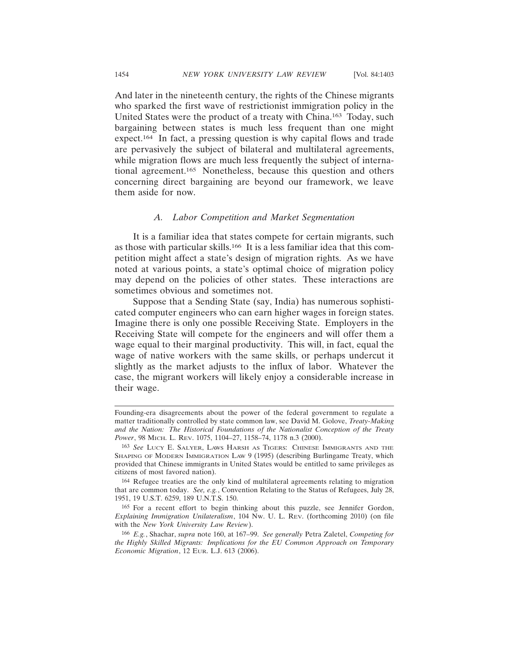And later in the nineteenth century, the rights of the Chinese migrants who sparked the first wave of restrictionist immigration policy in the United States were the product of a treaty with China.163 Today, such bargaining between states is much less frequent than one might expect.164 In fact, a pressing question is why capital flows and trade are pervasively the subject of bilateral and multilateral agreements, while migration flows are much less frequently the subject of international agreement.165 Nonetheless, because this question and others concerning direct bargaining are beyond our framework, we leave them aside for now.

#### *A. Labor Competition and Market Segmentation*

It is a familiar idea that states compete for certain migrants, such as those with particular skills.166 It is a less familiar idea that this competition might affect a state's design of migration rights. As we have noted at various points, a state's optimal choice of migration policy may depend on the policies of other states. These interactions are sometimes obvious and sometimes not.

Suppose that a Sending State (say, India) has numerous sophisticated computer engineers who can earn higher wages in foreign states. Imagine there is only one possible Receiving State. Employers in the Receiving State will compete for the engineers and will offer them a wage equal to their marginal productivity. This will, in fact, equal the wage of native workers with the same skills, or perhaps undercut it slightly as the market adjusts to the influx of labor. Whatever the case, the migrant workers will likely enjoy a considerable increase in their wage.

Founding-era disagreements about the power of the federal government to regulate a matter traditionally controlled by state common law, see David M. Golove, *Treaty-Making and the Nation: The Historical Foundations of the Nationalist Conception of the Treaty Power*, 98 MICH. L. REV. 1075, 1104–27, 1158–74, 1178 n.3 (2000).

<sup>163</sup> *See* LUCY E. SALYER, LAWS HARSH AS TIGERS: CHINESE IMMIGRANTS AND THE SHAPING OF MODERN IMMIGRATION LAW 9 (1995) (describing Burlingame Treaty, which provided that Chinese immigrants in United States would be entitled to same privileges as citizens of most favored nation).

<sup>164</sup> Refugee treaties are the only kind of multilateral agreements relating to migration that are common today. *See, e.g.*, Convention Relating to the Status of Refugees, July 28, 1951, 19 U.S.T. 6259, 189 U.N.T.S. 150.

<sup>165</sup> For a recent effort to begin thinking about this puzzle, see Jennifer Gordon, *Explaining Immigration Unilateralism*, 104 NW. U. L. REV. (forthcoming 2010) (on file with the *New York University Law Review*).

<sup>166</sup> *E.g.*, Shachar, *supra* note 160, at 167–99. *See generally* Petra Zaletel, *Competing for the Highly Skilled Migrants: Implications for the EU Common Approach on Temporary Economic Migration*, 12 EUR. L.J. 613 (2006).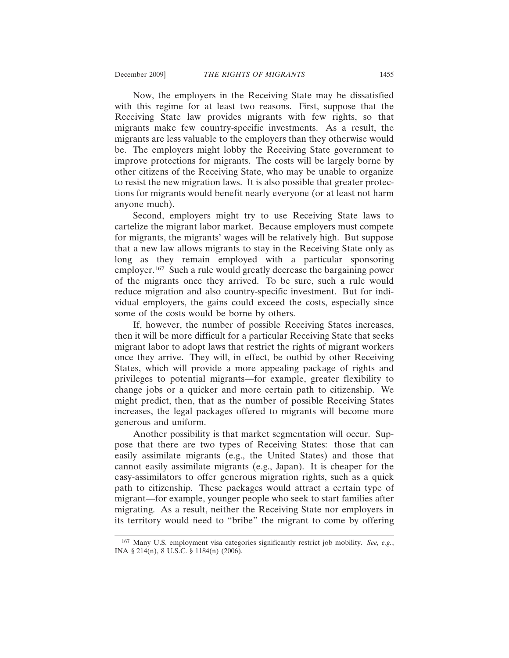Now, the employers in the Receiving State may be dissatisfied with this regime for at least two reasons. First, suppose that the Receiving State law provides migrants with few rights, so that migrants make few country-specific investments. As a result, the migrants are less valuable to the employers than they otherwise would be. The employers might lobby the Receiving State government to improve protections for migrants. The costs will be largely borne by other citizens of the Receiving State, who may be unable to organize to resist the new migration laws. It is also possible that greater protections for migrants would benefit nearly everyone (or at least not harm anyone much).

Second, employers might try to use Receiving State laws to cartelize the migrant labor market. Because employers must compete for migrants, the migrants' wages will be relatively high. But suppose that a new law allows migrants to stay in the Receiving State only as long as they remain employed with a particular sponsoring employer.167 Such a rule would greatly decrease the bargaining power of the migrants once they arrived. To be sure, such a rule would reduce migration and also country-specific investment. But for individual employers, the gains could exceed the costs, especially since some of the costs would be borne by others.

If, however, the number of possible Receiving States increases, then it will be more difficult for a particular Receiving State that seeks migrant labor to adopt laws that restrict the rights of migrant workers once they arrive. They will, in effect, be outbid by other Receiving States, which will provide a more appealing package of rights and privileges to potential migrants—for example, greater flexibility to change jobs or a quicker and more certain path to citizenship. We might predict, then, that as the number of possible Receiving States increases, the legal packages offered to migrants will become more generous and uniform.

Another possibility is that market segmentation will occur. Suppose that there are two types of Receiving States: those that can easily assimilate migrants (e.g., the United States) and those that cannot easily assimilate migrants (e.g., Japan). It is cheaper for the easy-assimilators to offer generous migration rights, such as a quick path to citizenship. These packages would attract a certain type of migrant—for example, younger people who seek to start families after migrating. As a result, neither the Receiving State nor employers in its territory would need to "bribe" the migrant to come by offering

<sup>167</sup> Many U.S. employment visa categories significantly restrict job mobility. *See, e.g.*, INA § 214(n), 8 U.S.C. § 1184(n) (2006).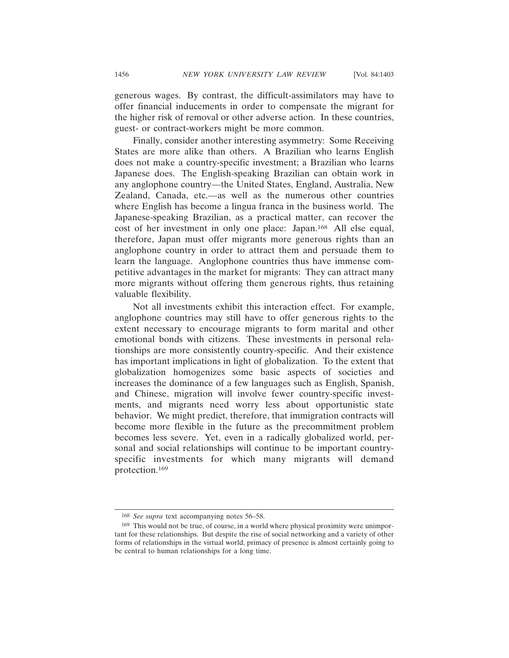generous wages. By contrast, the difficult-assimilators may have to offer financial inducements in order to compensate the migrant for the higher risk of removal or other adverse action. In these countries, guest- or contract-workers might be more common.

Finally, consider another interesting asymmetry: Some Receiving States are more alike than others. A Brazilian who learns English does not make a country-specific investment; a Brazilian who learns Japanese does. The English-speaking Brazilian can obtain work in any anglophone country—the United States, England, Australia, New Zealand, Canada, etc.—as well as the numerous other countries where English has become a lingua franca in the business world. The Japanese-speaking Brazilian, as a practical matter, can recover the cost of her investment in only one place: Japan.168 All else equal, therefore, Japan must offer migrants more generous rights than an anglophone country in order to attract them and persuade them to learn the language. Anglophone countries thus have immense competitive advantages in the market for migrants: They can attract many more migrants without offering them generous rights, thus retaining valuable flexibility.

Not all investments exhibit this interaction effect. For example, anglophone countries may still have to offer generous rights to the extent necessary to encourage migrants to form marital and other emotional bonds with citizens. These investments in personal relationships are more consistently country-specific. And their existence has important implications in light of globalization. To the extent that globalization homogenizes some basic aspects of societies and increases the dominance of a few languages such as English, Spanish, and Chinese, migration will involve fewer country-specific investments, and migrants need worry less about opportunistic state behavior. We might predict, therefore, that immigration contracts will become more flexible in the future as the precommitment problem becomes less severe. Yet, even in a radically globalized world, personal and social relationships will continue to be important countryspecific investments for which many migrants will demand protection.169

<sup>168</sup> *See supra* text accompanying notes 56–58.

<sup>169</sup> This would not be true, of course, in a world where physical proximity were unimportant for these relationships. But despite the rise of social networking and a variety of other forms of relationships in the virtual world, primacy of presence is almost certainly going to be central to human relationships for a long time.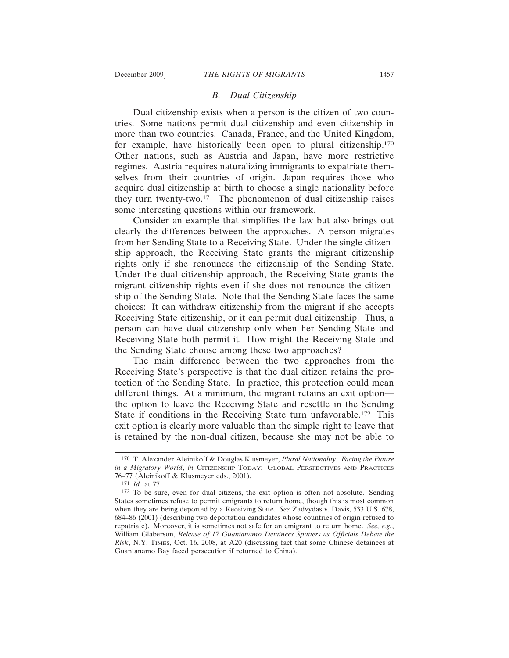## *B. Dual Citizenship*

Dual citizenship exists when a person is the citizen of two countries. Some nations permit dual citizenship and even citizenship in more than two countries. Canada, France, and the United Kingdom, for example, have historically been open to plural citizenship.170 Other nations, such as Austria and Japan, have more restrictive regimes. Austria requires naturalizing immigrants to expatriate themselves from their countries of origin. Japan requires those who acquire dual citizenship at birth to choose a single nationality before they turn twenty-two.171 The phenomenon of dual citizenship raises some interesting questions within our framework.

Consider an example that simplifies the law but also brings out clearly the differences between the approaches. A person migrates from her Sending State to a Receiving State. Under the single citizenship approach, the Receiving State grants the migrant citizenship rights only if she renounces the citizenship of the Sending State. Under the dual citizenship approach, the Receiving State grants the migrant citizenship rights even if she does not renounce the citizenship of the Sending State. Note that the Sending State faces the same choices: It can withdraw citizenship from the migrant if she accepts Receiving State citizenship, or it can permit dual citizenship. Thus, a person can have dual citizenship only when her Sending State and Receiving State both permit it. How might the Receiving State and the Sending State choose among these two approaches?

The main difference between the two approaches from the Receiving State's perspective is that the dual citizen retains the protection of the Sending State. In practice, this protection could mean different things. At a minimum, the migrant retains an exit option the option to leave the Receiving State and resettle in the Sending State if conditions in the Receiving State turn unfavorable.172 This exit option is clearly more valuable than the simple right to leave that is retained by the non-dual citizen, because she may not be able to

<sup>170</sup> T. Alexander Aleinikoff & Douglas Klusmeyer, *Plural Nationality: Facing the Future in a Migratory World*, *in* CITIZENSHIP TODAY: GLOBAL PERSPECTIVES AND PRACTICES 76–77 (Aleinikoff & Klusmeyer eds., 2001).

<sup>171</sup> *Id.* at 77.

<sup>172</sup> To be sure, even for dual citizens, the exit option is often not absolute. Sending States sometimes refuse to permit emigrants to return home, though this is most common when they are being deported by a Receiving State. *See* Zadvydas v. Davis, 533 U.S. 678, 684–86 (2001) (describing two deportation candidates whose countries of origin refused to repatriate). Moreover, it is sometimes not safe for an emigrant to return home. *See, e.g.*, William Glaberson, *Release of 17 Guantanamo Detainees Sputters as Officials Debate the Risk*, N.Y. TIMES, Oct. 16, 2008, at A20 (discussing fact that some Chinese detainees at Guantanamo Bay faced persecution if returned to China).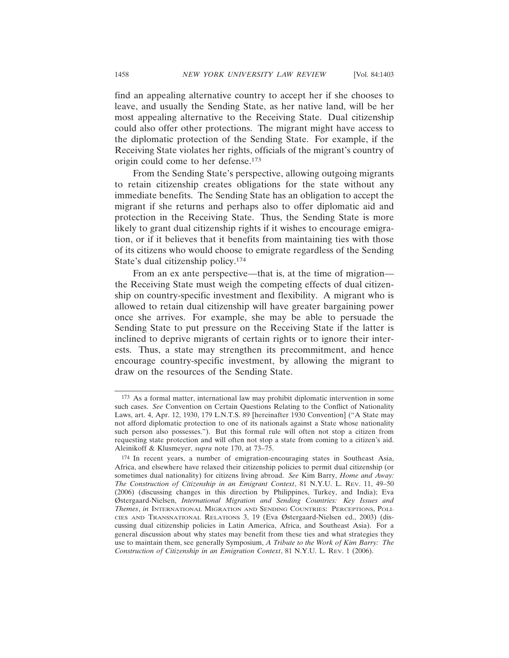find an appealing alternative country to accept her if she chooses to leave, and usually the Sending State, as her native land, will be her most appealing alternative to the Receiving State. Dual citizenship could also offer other protections. The migrant might have access to the diplomatic protection of the Sending State. For example, if the Receiving State violates her rights, officials of the migrant's country of origin could come to her defense.173

From the Sending State's perspective, allowing outgoing migrants to retain citizenship creates obligations for the state without any immediate benefits. The Sending State has an obligation to accept the migrant if she returns and perhaps also to offer diplomatic aid and protection in the Receiving State. Thus, the Sending State is more likely to grant dual citizenship rights if it wishes to encourage emigration, or if it believes that it benefits from maintaining ties with those of its citizens who would choose to emigrate regardless of the Sending State's dual citizenship policy.174

From an ex ante perspective—that is, at the time of migration the Receiving State must weigh the competing effects of dual citizenship on country-specific investment and flexibility. A migrant who is allowed to retain dual citizenship will have greater bargaining power once she arrives. For example, she may be able to persuade the Sending State to put pressure on the Receiving State if the latter is inclined to deprive migrants of certain rights or to ignore their interests. Thus, a state may strengthen its precommitment, and hence encourage country-specific investment, by allowing the migrant to draw on the resources of the Sending State.

<sup>173</sup> As a formal matter, international law may prohibit diplomatic intervention in some such cases. *See* Convention on Certain Questions Relating to the Conflict of Nationality Laws, art. 4, Apr. 12, 1930, 179 L.N.T.S. 89 [hereinafter 1930 Convention] ("A State may not afford diplomatic protection to one of its nationals against a State whose nationality such person also possesses."). But this formal rule will often not stop a citizen from requesting state protection and will often not stop a state from coming to a citizen's aid. Aleinikoff & Klusmeyer, *supra* note 170, at 73–75.

<sup>174</sup> In recent years, a number of emigration-encouraging states in Southeast Asia, Africa, and elsewhere have relaxed their citizenship policies to permit dual citizenship (or sometimes dual nationality) for citizens living abroad. *See* Kim Barry, *Home and Away: The Construction of Citizenship in an Emigrant Context*, 81 N.Y.U. L. REV. 11, 49–50 (2006) (discussing changes in this direction by Philippines, Turkey, and India); Eva Østergaard-Nielsen, *International Migration and Sending Countries: Key Issues and Themes*, *in* INTERNATIONAL MIGRATION AND SENDING COUNTRIES: PERCEPTIONS, POLI-CIES AND TRANSNATIONAL RELATIONS 3, 19 (Eva Østergaard-Nielsen ed., 2003) (discussing dual citizenship policies in Latin America, Africa, and Southeast Asia). For a general discussion about why states may benefit from these ties and what strategies they use to maintain them, see generally Symposium, *A Tribute to the Work of Kim Barry: The Construction of Citizenship in an Emigration Context*, 81 N.Y.U. L. REV. 1 (2006).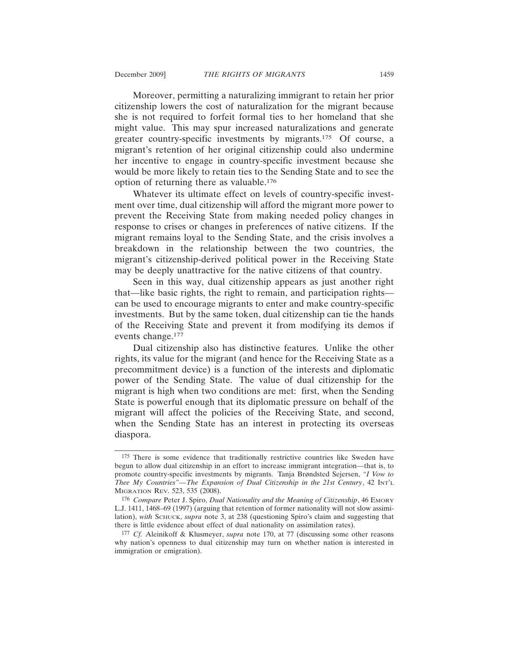Moreover, permitting a naturalizing immigrant to retain her prior citizenship lowers the cost of naturalization for the migrant because she is not required to forfeit formal ties to her homeland that she might value. This may spur increased naturalizations and generate greater country-specific investments by migrants.175 Of course, a migrant's retention of her original citizenship could also undermine her incentive to engage in country-specific investment because she would be more likely to retain ties to the Sending State and to see the option of returning there as valuable.176

Whatever its ultimate effect on levels of country-specific investment over time, dual citizenship will afford the migrant more power to prevent the Receiving State from making needed policy changes in response to crises or changes in preferences of native citizens. If the migrant remains loyal to the Sending State, and the crisis involves a breakdown in the relationship between the two countries, the migrant's citizenship-derived political power in the Receiving State may be deeply unattractive for the native citizens of that country.

Seen in this way, dual citizenship appears as just another right that—like basic rights, the right to remain, and participation rights can be used to encourage migrants to enter and make country-specific investments. But by the same token, dual citizenship can tie the hands of the Receiving State and prevent it from modifying its demos if events change.177

Dual citizenship also has distinctive features. Unlike the other rights, its value for the migrant (and hence for the Receiving State as a precommitment device) is a function of the interests and diplomatic power of the Sending State. The value of dual citizenship for the migrant is high when two conditions are met: first, when the Sending State is powerful enough that its diplomatic pressure on behalf of the migrant will affect the policies of the Receiving State, and second, when the Sending State has an interest in protecting its overseas diaspora.

<sup>175</sup> There is some evidence that traditionally restrictive countries like Sweden have begun to allow dual citizenship in an effort to increase immigrant integration—that is, to promote country-specific investments by migrants. Tanja Brøndsted Sejersen, *"I Vow to Thee My Countries"—The Expansion of Dual Citizenship in the 21st Century*, 42 INT'L MIGRATION REV. 523, 535 (2008).

<sup>176</sup> *Compare* Peter J. Spiro, *Dual Nationality and the Meaning of Citizenship*, 46 EMORY L.J. 1411, 1468–69 (1997) (arguing that retention of former nationality will not slow assimilation), with SCHUCK, *supra* note 3, at 238 (questioning Spiro's claim and suggesting that there is little evidence about effect of dual nationality on assimilation rates).

<sup>177</sup> *Cf.* Aleinikoff & Klusmeyer, *supra* note 170, at 77 (discussing some other reasons why nation's openness to dual citizenship may turn on whether nation is interested in immigration or emigration).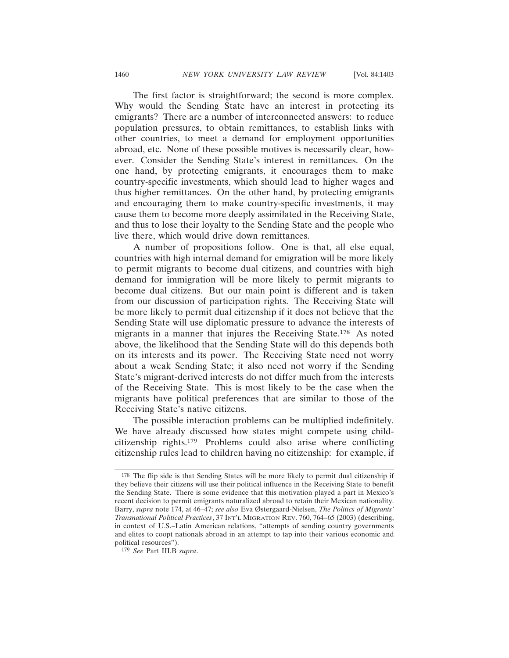The first factor is straightforward; the second is more complex. Why would the Sending State have an interest in protecting its emigrants? There are a number of interconnected answers: to reduce population pressures, to obtain remittances, to establish links with other countries, to meet a demand for employment opportunities abroad, etc. None of these possible motives is necessarily clear, however. Consider the Sending State's interest in remittances. On the one hand, by protecting emigrants, it encourages them to make country-specific investments, which should lead to higher wages and thus higher remittances. On the other hand, by protecting emigrants and encouraging them to make country-specific investments, it may cause them to become more deeply assimilated in the Receiving State, and thus to lose their loyalty to the Sending State and the people who live there, which would drive down remittances.

A number of propositions follow. One is that, all else equal, countries with high internal demand for emigration will be more likely to permit migrants to become dual citizens, and countries with high demand for immigration will be more likely to permit migrants to become dual citizens. But our main point is different and is taken from our discussion of participation rights. The Receiving State will be more likely to permit dual citizenship if it does not believe that the Sending State will use diplomatic pressure to advance the interests of migrants in a manner that injures the Receiving State.178 As noted above, the likelihood that the Sending State will do this depends both on its interests and its power. The Receiving State need not worry about a weak Sending State; it also need not worry if the Sending State's migrant-derived interests do not differ much from the interests of the Receiving State. This is most likely to be the case when the migrants have political preferences that are similar to those of the Receiving State's native citizens.

The possible interaction problems can be multiplied indefinitely. We have already discussed how states might compete using childcitizenship rights.179 Problems could also arise where conflicting citizenship rules lead to children having no citizenship: for example, if

<sup>178</sup> The flip side is that Sending States will be more likely to permit dual citizenship if they believe their citizens will use their political influence in the Receiving State to benefit the Sending State. There is some evidence that this motivation played a part in Mexico's recent decision to permit emigrants naturalized abroad to retain their Mexican nationality. Barry, *supra* note 174, at 46–47; *see also* Eva Østergaard-Nielsen, *The Politics of Migrants' Transnational Political Practices*, 37 INT'L MIGRATION REV. 760, 764–65 (2003) (describing, in context of U.S.–Latin American relations, "attempts of sending country governments and elites to coopt nationals abroad in an attempt to tap into their various economic and political resources").

<sup>179</sup> *See* Part III.B *supra*.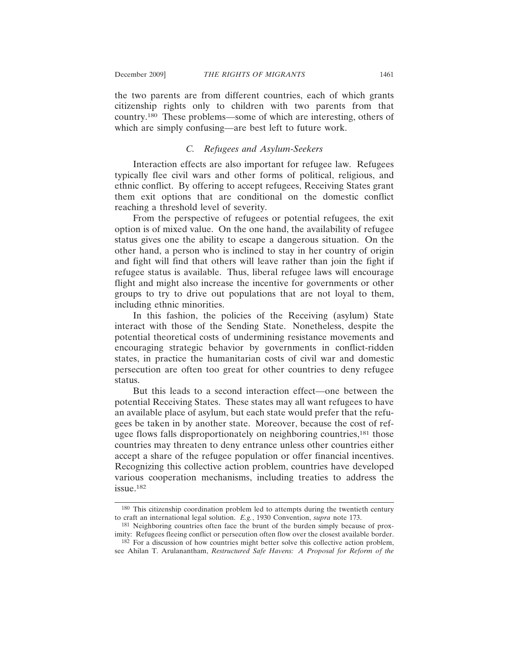the two parents are from different countries, each of which grants citizenship rights only to children with two parents from that country.180 These problems—some of which are interesting, others of which are simply confusing—are best left to future work.

#### *C. Refugees and Asylum-Seekers*

Interaction effects are also important for refugee law. Refugees typically flee civil wars and other forms of political, religious, and ethnic conflict. By offering to accept refugees, Receiving States grant them exit options that are conditional on the domestic conflict reaching a threshold level of severity.

From the perspective of refugees or potential refugees, the exit option is of mixed value. On the one hand, the availability of refugee status gives one the ability to escape a dangerous situation. On the other hand, a person who is inclined to stay in her country of origin and fight will find that others will leave rather than join the fight if refugee status is available. Thus, liberal refugee laws will encourage flight and might also increase the incentive for governments or other groups to try to drive out populations that are not loyal to them, including ethnic minorities.

In this fashion, the policies of the Receiving (asylum) State interact with those of the Sending State. Nonetheless, despite the potential theoretical costs of undermining resistance movements and encouraging strategic behavior by governments in conflict-ridden states, in practice the humanitarian costs of civil war and domestic persecution are often too great for other countries to deny refugee status.

But this leads to a second interaction effect—one between the potential Receiving States. These states may all want refugees to have an available place of asylum, but each state would prefer that the refugees be taken in by another state. Moreover, because the cost of refugee flows falls disproportionately on neighboring countries,<sup>181</sup> those countries may threaten to deny entrance unless other countries either accept a share of the refugee population or offer financial incentives. Recognizing this collective action problem, countries have developed various cooperation mechanisms, including treaties to address the issue.182

<sup>180</sup> This citizenship coordination problem led to attempts during the twentieth century to craft an international legal solution. *E.g.*, 1930 Convention, *supra* note 173.

<sup>181</sup> Neighboring countries often face the brunt of the burden simply because of proximity: Refugees fleeing conflict or persecution often flow over the closest available border.

<sup>182</sup> For a discussion of how countries might better solve this collective action problem, see Ahilan T. Arulanantham, *Restructured Safe Havens: A Proposal for Reform of the*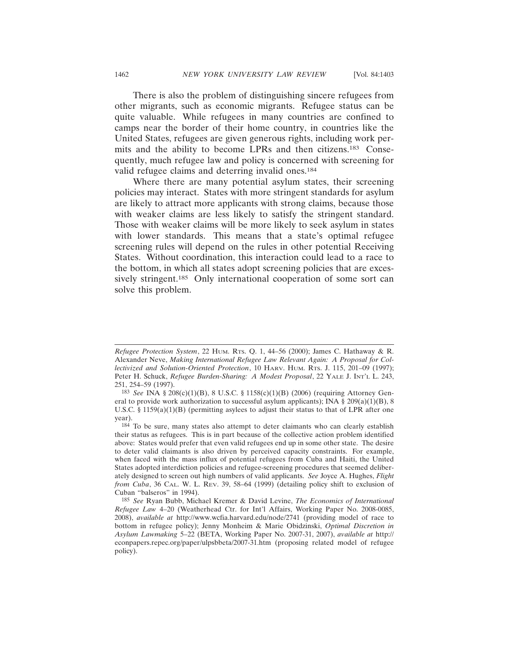There is also the problem of distinguishing sincere refugees from other migrants, such as economic migrants. Refugee status can be quite valuable. While refugees in many countries are confined to camps near the border of their home country, in countries like the United States, refugees are given generous rights, including work permits and the ability to become LPRs and then citizens.183 Consequently, much refugee law and policy is concerned with screening for valid refugee claims and deterring invalid ones.<sup>184</sup>

Where there are many potential asylum states, their screening policies may interact. States with more stringent standards for asylum are likely to attract more applicants with strong claims, because those with weaker claims are less likely to satisfy the stringent standard. Those with weaker claims will be more likely to seek asylum in states with lower standards. This means that a state's optimal refugee screening rules will depend on the rules in other potential Receiving States. Without coordination, this interaction could lead to a race to the bottom, in which all states adopt screening policies that are excessively stringent.<sup>185</sup> Only international cooperation of some sort can solve this problem.

*Refugee Protection System*, 22 HUM. RTS. Q. 1, 44–56 (2000); James C. Hathaway & R. Alexander Neve, *Making International Refugee Law Relevant Again: A Proposal for Collectivized and Solution-Oriented Protection*, 10 HARV. HUM. RTS. J. 115, 201–09 (1997); Peter H. Schuck, *Refugee Burden-Sharing: A Modest Proposal*, 22 YALE J. INT'L L. 243, 251, 254–59 (1997).

<sup>183</sup> *See* INA § 208(c)(1)(B), 8 U.S.C. § 1158(c)(1)(B) (2006) (requiring Attorney General to provide work authorization to successful asylum applicants); INA § 209(a)(1)(B), 8 U.S.C. § 1159(a)(1)(B) (permitting asylees to adjust their status to that of LPR after one year).

<sup>184</sup> To be sure, many states also attempt to deter claimants who can clearly establish their status as refugees. This is in part because of the collective action problem identified above: States would prefer that even valid refugees end up in some other state. The desire to deter valid claimants is also driven by perceived capacity constraints. For example, when faced with the mass influx of potential refugees from Cuba and Haiti, the United States adopted interdiction policies and refugee-screening procedures that seemed deliberately designed to screen out high numbers of valid applicants. *See* Joyce A. Hughes, *Flight from Cuba*, 36 CAL. W. L. REV. 39, 58–64 (1999) (detailing policy shift to exclusion of Cuban "balseros" in 1994).

<sup>185</sup> *See* Ryan Bubb, Michael Kremer & David Levine, *The Economics of International Refugee Law* 4–20 (Weatherhead Ctr. for Int'l Affairs, Working Paper No. 2008-0085, 2008), *available at* http://www.wcfia.harvard.edu/node/2741 (providing model of race to bottom in refugee policy); Jenny Monheim & Marie Obidzinski, *Optimal Discretion in Asylum Lawmaking* 5–22 (BETA, Working Paper No. 2007-31, 2007), *available at* http:// econpapers.repec.org/paper/ulpsbbeta/2007-31.htm (proposing related model of refugee policy).